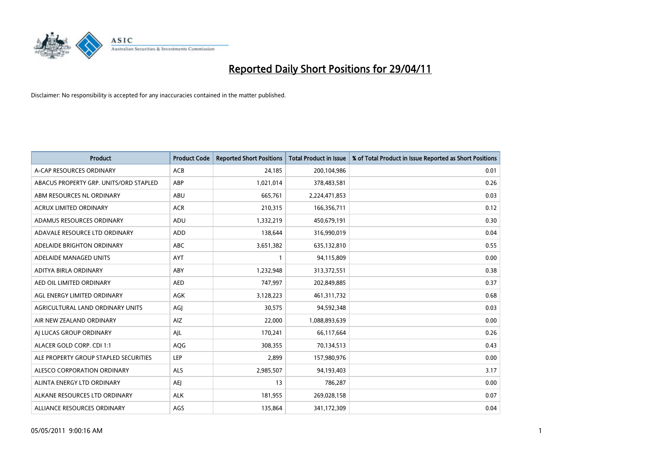

| <b>Product</b>                         | <b>Product Code</b> | <b>Reported Short Positions</b> | Total Product in Issue | % of Total Product in Issue Reported as Short Positions |
|----------------------------------------|---------------------|---------------------------------|------------------------|---------------------------------------------------------|
| A-CAP RESOURCES ORDINARY               | <b>ACB</b>          | 24,185                          | 200,104,986            | 0.01                                                    |
| ABACUS PROPERTY GRP. UNITS/ORD STAPLED | ABP                 | 1,021,014                       | 378,483,581            | 0.26                                                    |
| ABM RESOURCES NL ORDINARY              | ABU                 | 665,761                         | 2,224,471,853          | 0.03                                                    |
| ACRUX LIMITED ORDINARY                 | <b>ACR</b>          | 210,315                         | 166,356,711            | 0.12                                                    |
| ADAMUS RESOURCES ORDINARY              | ADU                 | 1,332,219                       | 450,679,191            | 0.30                                                    |
| ADAVALE RESOURCE LTD ORDINARY          | <b>ADD</b>          | 138,644                         | 316,990,019            | 0.04                                                    |
| ADELAIDE BRIGHTON ORDINARY             | <b>ABC</b>          | 3,651,382                       | 635,132,810            | 0.55                                                    |
| ADELAIDE MANAGED UNITS                 | <b>AYT</b>          |                                 | 94,115,809             | 0.00                                                    |
| ADITYA BIRLA ORDINARY                  | ABY                 | 1,232,948                       | 313,372,551            | 0.38                                                    |
| AED OIL LIMITED ORDINARY               | <b>AED</b>          | 747,997                         | 202,849,885            | 0.37                                                    |
| AGL ENERGY LIMITED ORDINARY            | AGK                 | 3,128,223                       | 461,311,732            | 0.68                                                    |
| AGRICULTURAL LAND ORDINARY UNITS       | AGJ                 | 30,575                          | 94,592,348             | 0.03                                                    |
| AIR NEW ZEALAND ORDINARY               | AIZ                 | 22,000                          | 1,088,893,639          | 0.00                                                    |
| AI LUCAS GROUP ORDINARY                | AIL                 | 170,241                         | 66,117,664             | 0.26                                                    |
| ALACER GOLD CORP. CDI 1:1              | AQG                 | 308,355                         | 70,134,513             | 0.43                                                    |
| ALE PROPERTY GROUP STAPLED SECURITIES  | <b>LEP</b>          | 2,899                           | 157,980,976            | 0.00                                                    |
| ALESCO CORPORATION ORDINARY            | ALS                 | 2,985,507                       | 94,193,403             | 3.17                                                    |
| ALINTA ENERGY LTD ORDINARY             | <b>AEI</b>          | 13                              | 786,287                | 0.00                                                    |
| ALKANE RESOURCES LTD ORDINARY          | <b>ALK</b>          | 181,955                         | 269,028,158            | 0.07                                                    |
| ALLIANCE RESOURCES ORDINARY            | AGS                 | 135,864                         | 341,172,309            | 0.04                                                    |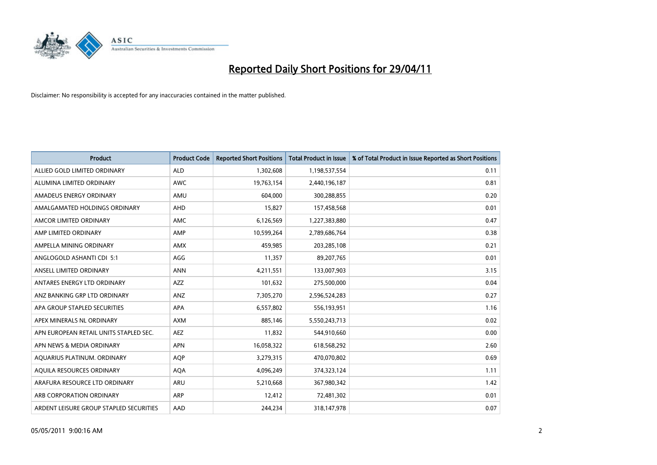

| <b>Product</b>                          | <b>Product Code</b> | <b>Reported Short Positions</b> | <b>Total Product in Issue</b> | % of Total Product in Issue Reported as Short Positions |
|-----------------------------------------|---------------------|---------------------------------|-------------------------------|---------------------------------------------------------|
| ALLIED GOLD LIMITED ORDINARY            | <b>ALD</b>          | 1,302,608                       | 1,198,537,554                 | 0.11                                                    |
| ALUMINA LIMITED ORDINARY                | <b>AWC</b>          | 19,763,154                      | 2,440,196,187                 | 0.81                                                    |
| AMADEUS ENERGY ORDINARY                 | AMU                 | 604,000                         | 300,288,855                   | 0.20                                                    |
| AMALGAMATED HOLDINGS ORDINARY           | <b>AHD</b>          | 15,827                          | 157,458,568                   | 0.01                                                    |
| AMCOR LIMITED ORDINARY                  | <b>AMC</b>          | 6,126,569                       | 1,227,383,880                 | 0.47                                                    |
| AMP LIMITED ORDINARY                    | AMP                 | 10,599,264                      | 2,789,686,764                 | 0.38                                                    |
| AMPELLA MINING ORDINARY                 | <b>AMX</b>          | 459.985                         | 203,285,108                   | 0.21                                                    |
| ANGLOGOLD ASHANTI CDI 5:1               | AGG                 | 11,357                          | 89,207,765                    | 0.01                                                    |
| ANSELL LIMITED ORDINARY                 | <b>ANN</b>          | 4,211,551                       | 133,007,903                   | 3.15                                                    |
| ANTARES ENERGY LTD ORDINARY             | <b>AZZ</b>          | 101,632                         | 275,500,000                   | 0.04                                                    |
| ANZ BANKING GRP LTD ORDINARY            | ANZ                 | 7,305,270                       | 2,596,524,283                 | 0.27                                                    |
| APA GROUP STAPLED SECURITIES            | <b>APA</b>          | 6,557,802                       | 556,193,951                   | 1.16                                                    |
| APEX MINERALS NL ORDINARY               | <b>AXM</b>          | 885,146                         | 5,550,243,713                 | 0.02                                                    |
| APN EUROPEAN RETAIL UNITS STAPLED SEC.  | <b>AEZ</b>          | 11,832                          | 544,910,660                   | 0.00                                                    |
| APN NEWS & MEDIA ORDINARY               | <b>APN</b>          | 16,058,322                      | 618,568,292                   | 2.60                                                    |
| AQUARIUS PLATINUM. ORDINARY             | <b>AOP</b>          | 3,279,315                       | 470,070,802                   | 0.69                                                    |
| AQUILA RESOURCES ORDINARY               | <b>AQA</b>          | 4,096,249                       | 374,323,124                   | 1.11                                                    |
| ARAFURA RESOURCE LTD ORDINARY           | <b>ARU</b>          | 5,210,668                       | 367,980,342                   | 1.42                                                    |
| ARB CORPORATION ORDINARY                | <b>ARP</b>          | 12,412                          | 72,481,302                    | 0.01                                                    |
| ARDENT LEISURE GROUP STAPLED SECURITIES | AAD                 | 244.234                         | 318,147,978                   | 0.07                                                    |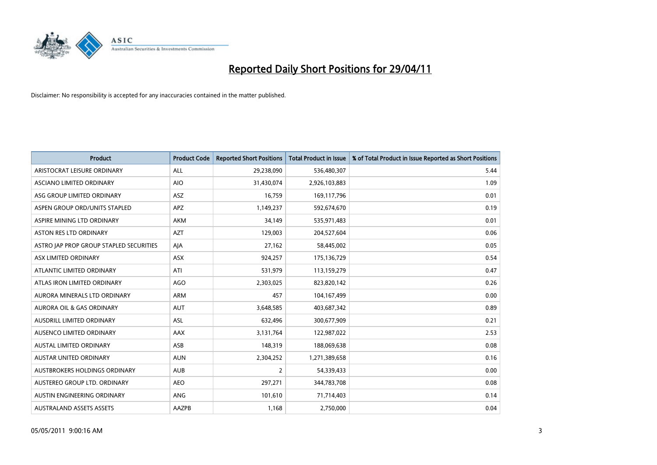

| <b>Product</b>                          | <b>Product Code</b> | <b>Reported Short Positions</b> | <b>Total Product in Issue</b> | % of Total Product in Issue Reported as Short Positions |
|-----------------------------------------|---------------------|---------------------------------|-------------------------------|---------------------------------------------------------|
| ARISTOCRAT LEISURE ORDINARY             | ALL                 | 29,238,090                      | 536,480,307                   | 5.44                                                    |
| ASCIANO LIMITED ORDINARY                | <b>AIO</b>          | 31,430,074                      | 2,926,103,883                 | 1.09                                                    |
| ASG GROUP LIMITED ORDINARY              | <b>ASZ</b>          | 16,759                          | 169,117,796                   | 0.01                                                    |
| ASPEN GROUP ORD/UNITS STAPLED           | <b>APZ</b>          | 1,149,237                       | 592,674,670                   | 0.19                                                    |
| ASPIRE MINING LTD ORDINARY              | <b>AKM</b>          | 34,149                          | 535,971,483                   | 0.01                                                    |
| <b>ASTON RES LTD ORDINARY</b>           | <b>AZT</b>          | 129,003                         | 204,527,604                   | 0.06                                                    |
| ASTRO JAP PROP GROUP STAPLED SECURITIES | AJA                 | 27,162                          | 58,445,002                    | 0.05                                                    |
| ASX LIMITED ORDINARY                    | ASX                 | 924,257                         | 175,136,729                   | 0.54                                                    |
| ATLANTIC LIMITED ORDINARY               | ATI                 | 531,979                         | 113,159,279                   | 0.47                                                    |
| ATLAS IRON LIMITED ORDINARY             | <b>AGO</b>          | 2,303,025                       | 823,820,142                   | 0.26                                                    |
| AURORA MINERALS LTD ORDINARY            | <b>ARM</b>          | 457                             | 104,167,499                   | 0.00                                                    |
| <b>AURORA OIL &amp; GAS ORDINARY</b>    | <b>AUT</b>          | 3,648,585                       | 403,687,342                   | 0.89                                                    |
| AUSDRILL LIMITED ORDINARY               | ASL                 | 632,496                         | 300,677,909                   | 0.21                                                    |
| AUSENCO LIMITED ORDINARY                | AAX                 | 3,131,764                       | 122,987,022                   | 2.53                                                    |
| <b>AUSTAL LIMITED ORDINARY</b>          | ASB                 | 148,319                         | 188,069,638                   | 0.08                                                    |
| AUSTAR UNITED ORDINARY                  | <b>AUN</b>          | 2,304,252                       | 1,271,389,658                 | 0.16                                                    |
| AUSTBROKERS HOLDINGS ORDINARY           | <b>AUB</b>          | $\overline{2}$                  | 54,339,433                    | 0.00                                                    |
| AUSTEREO GROUP LTD. ORDINARY            | <b>AEO</b>          | 297,271                         | 344,783,708                   | 0.08                                                    |
| AUSTIN ENGINEERING ORDINARY             | ANG                 | 101,610                         | 71,714,403                    | 0.14                                                    |
| <b>AUSTRALAND ASSETS ASSETS</b>         | AAZPB               | 1,168                           | 2,750,000                     | 0.04                                                    |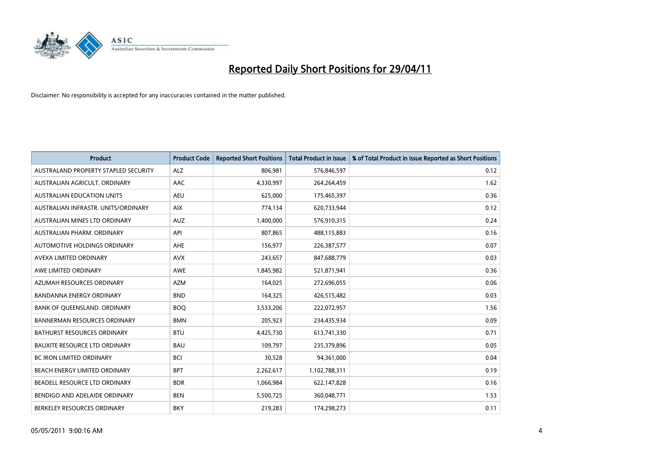

| <b>Product</b>                       | <b>Product Code</b> | <b>Reported Short Positions</b> | Total Product in Issue | % of Total Product in Issue Reported as Short Positions |
|--------------------------------------|---------------------|---------------------------------|------------------------|---------------------------------------------------------|
| AUSTRALAND PROPERTY STAPLED SECURITY | <b>ALZ</b>          | 806,981                         | 576,846,597            | 0.12                                                    |
| AUSTRALIAN AGRICULT. ORDINARY        | AAC                 | 4,330,997                       | 264,264,459            | 1.62                                                    |
| <b>AUSTRALIAN EDUCATION UNITS</b>    | <b>AEU</b>          | 625.000                         | 175,465,397            | 0.36                                                    |
| AUSTRALIAN INFRASTR. UNITS/ORDINARY  | <b>AIX</b>          | 774,134                         | 620,733,944            | 0.12                                                    |
| AUSTRALIAN MINES LTD ORDINARY        | <b>AUZ</b>          | 1,400,000                       | 576,910,315            | 0.24                                                    |
| AUSTRALIAN PHARM, ORDINARY           | API                 | 807,865                         | 488,115,883            | 0.16                                                    |
| AUTOMOTIVE HOLDINGS ORDINARY         | <b>AHE</b>          | 156,977                         | 226,387,577            | 0.07                                                    |
| AVEXA LIMITED ORDINARY               | <b>AVX</b>          | 243,657                         | 847,688,779            | 0.03                                                    |
| AWE LIMITED ORDINARY                 | <b>AWE</b>          | 1,845,982                       | 521,871,941            | 0.36                                                    |
| AZUMAH RESOURCES ORDINARY            | <b>AZM</b>          | 164,025                         | 272,696,055            | 0.06                                                    |
| BANDANNA ENERGY ORDINARY             | <b>BND</b>          | 164,325                         | 426,515,482            | 0.03                                                    |
| BANK OF QUEENSLAND. ORDINARY         | <b>BOQ</b>          | 3,533,206                       | 222,072,957            | 1.56                                                    |
| <b>BANNERMAN RESOURCES ORDINARY</b>  | <b>BMN</b>          | 205,923                         | 234,435,934            | 0.09                                                    |
| <b>BATHURST RESOURCES ORDINARY</b>   | <b>BTU</b>          | 4,425,730                       | 613,741,330            | 0.71                                                    |
| <b>BAUXITE RESOURCE LTD ORDINARY</b> | <b>BAU</b>          | 109,797                         | 235,379,896            | 0.05                                                    |
| BC IRON LIMITED ORDINARY             | <b>BCI</b>          | 30,528                          | 94,361,000             | 0.04                                                    |
| BEACH ENERGY LIMITED ORDINARY        | <b>BPT</b>          | 2,262,617                       | 1,102,788,311          | 0.19                                                    |
| BEADELL RESOURCE LTD ORDINARY        | <b>BDR</b>          | 1,066,984                       | 622,147,828            | 0.16                                                    |
| BENDIGO AND ADELAIDE ORDINARY        | <b>BEN</b>          | 5,500,725                       | 360,048,771            | 1.53                                                    |
| BERKELEY RESOURCES ORDINARY          | <b>BKY</b>          | 219,283                         | 174,298,273            | 0.11                                                    |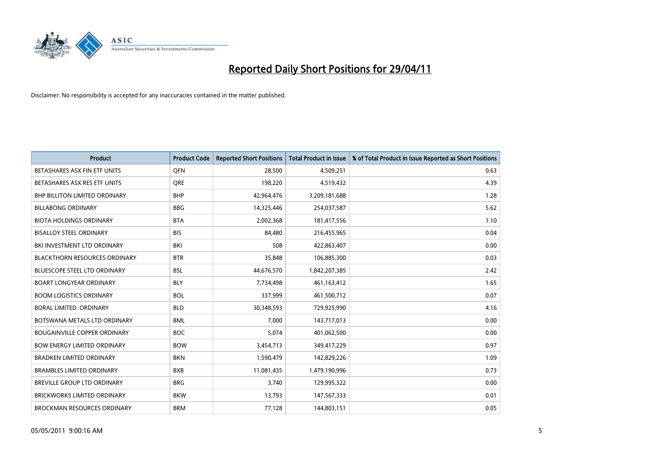

| <b>Product</b>                       | <b>Product Code</b> | <b>Reported Short Positions</b> | <b>Total Product in Issue</b> | % of Total Product in Issue Reported as Short Positions |
|--------------------------------------|---------------------|---------------------------------|-------------------------------|---------------------------------------------------------|
| BETASHARES ASX FIN ETF UNITS         | <b>OFN</b>          | 28,500                          | 4,509,251                     | 0.63                                                    |
| BETASHARES ASX RES ETF UNITS         | <b>ORE</b>          | 198,220                         | 4,519,432                     | 4.39                                                    |
| <b>BHP BILLITON LIMITED ORDINARY</b> | <b>BHP</b>          | 42,964,476                      | 3,209,181,688                 | 1.28                                                    |
| <b>BILLABONG ORDINARY</b>            | <b>BBG</b>          | 14,325,446                      | 254,037,587                   | 5.62                                                    |
| <b>BIOTA HOLDINGS ORDINARY</b>       | <b>BTA</b>          | 2,002,368                       | 181,417,556                   | 1.10                                                    |
| <b>BISALLOY STEEL ORDINARY</b>       | <b>BIS</b>          | 84.480                          | 216,455,965                   | 0.04                                                    |
| BKI INVESTMENT LTD ORDINARY          | <b>BKI</b>          | 508                             | 422,863,407                   | 0.00                                                    |
| <b>BLACKTHORN RESOURCES ORDINARY</b> | <b>BTR</b>          | 35,848                          | 106,885,300                   | 0.03                                                    |
| <b>BLUESCOPE STEEL LTD ORDINARY</b>  | <b>BSL</b>          | 44,676,570                      | 1,842,207,385                 | 2.42                                                    |
| <b>BOART LONGYEAR ORDINARY</b>       | <b>BLY</b>          | 7,734,498                       | 461, 163, 412                 | 1.65                                                    |
| <b>BOOM LOGISTICS ORDINARY</b>       | <b>BOL</b>          | 337,999                         | 461,500,712                   | 0.07                                                    |
| <b>BORAL LIMITED, ORDINARY</b>       | <b>BLD</b>          | 30,348,593                      | 729,925,990                   | 4.16                                                    |
| BOTSWANA METALS LTD ORDINARY         | <b>BML</b>          | 7,000                           | 143,717,013                   | 0.00                                                    |
| <b>BOUGAINVILLE COPPER ORDINARY</b>  | <b>BOC</b>          | 5,074                           | 401,062,500                   | 0.00                                                    |
| <b>BOW ENERGY LIMITED ORDINARY</b>   | <b>BOW</b>          | 3,454,713                       | 349,417,229                   | 0.97                                                    |
| <b>BRADKEN LIMITED ORDINARY</b>      | <b>BKN</b>          | 1,590,479                       | 142,829,226                   | 1.09                                                    |
| <b>BRAMBLES LIMITED ORDINARY</b>     | <b>BXB</b>          | 11,081,435                      | 1,479,190,996                 | 0.73                                                    |
| <b>BREVILLE GROUP LTD ORDINARY</b>   | <b>BRG</b>          | 3,740                           | 129,995,322                   | 0.00                                                    |
| <b>BRICKWORKS LIMITED ORDINARY</b>   | <b>BKW</b>          | 13,793                          | 147,567,333                   | 0.01                                                    |
| BROCKMAN RESOURCES ORDINARY          | <b>BRM</b>          | 77,128                          | 144,803,151                   | 0.05                                                    |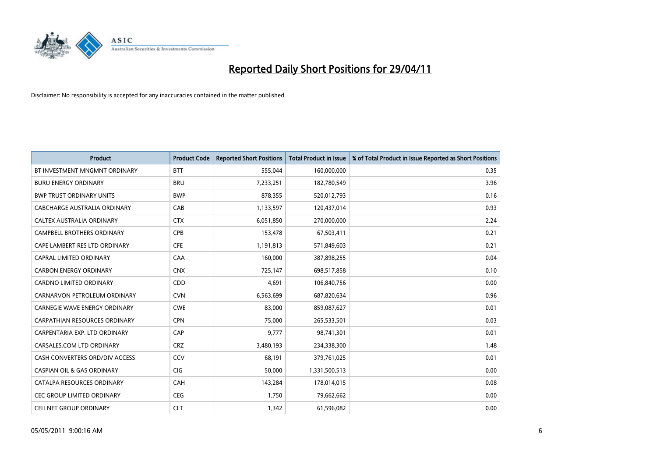

| <b>Product</b>                        | <b>Product Code</b> | <b>Reported Short Positions</b> | <b>Total Product in Issue</b> | % of Total Product in Issue Reported as Short Positions |
|---------------------------------------|---------------------|---------------------------------|-------------------------------|---------------------------------------------------------|
| BT INVESTMENT MNGMNT ORDINARY         | <b>BTT</b>          | 555,044                         | 160,000,000                   | 0.35                                                    |
| <b>BURU ENERGY ORDINARY</b>           | <b>BRU</b>          | 7,233,251                       | 182,780,549                   | 3.96                                                    |
| <b>BWP TRUST ORDINARY UNITS</b>       | <b>BWP</b>          | 878.355                         | 520,012,793                   | 0.16                                                    |
| CABCHARGE AUSTRALIA ORDINARY          | CAB                 | 1,133,597                       | 120,437,014                   | 0.93                                                    |
| CALTEX AUSTRALIA ORDINARY             | <b>CTX</b>          | 6,051,850                       | 270,000,000                   | 2.24                                                    |
| <b>CAMPBELL BROTHERS ORDINARY</b>     | CPB                 | 153,478                         | 67,503,411                    | 0.21                                                    |
| CAPE LAMBERT RES LTD ORDINARY         | <b>CFE</b>          | 1,191,813                       | 571,849,603                   | 0.21                                                    |
| CAPRAL LIMITED ORDINARY               | CAA                 | 160,000                         | 387,898,255                   | 0.04                                                    |
| <b>CARBON ENERGY ORDINARY</b>         | <b>CNX</b>          | 725,147                         | 698,517,858                   | 0.10                                                    |
| <b>CARDNO LIMITED ORDINARY</b>        | CDD                 | 4,691                           | 106,840,756                   | 0.00                                                    |
| CARNARVON PETROLEUM ORDINARY          | <b>CVN</b>          | 6,563,699                       | 687,820,634                   | 0.96                                                    |
| <b>CARNEGIE WAVE ENERGY ORDINARY</b>  | <b>CWE</b>          | 83,000                          | 859,087,627                   | 0.01                                                    |
| CARPATHIAN RESOURCES ORDINARY         | <b>CPN</b>          | 75,000                          | 265,533,501                   | 0.03                                                    |
| CARPENTARIA EXP. LTD ORDINARY         | CAP                 | 9,777                           | 98,741,301                    | 0.01                                                    |
| CARSALES.COM LTD ORDINARY             | <b>CRZ</b>          | 3,480,193                       | 234,338,300                   | 1.48                                                    |
| CASH CONVERTERS ORD/DIV ACCESS        | CCV                 | 68,191                          | 379,761,025                   | 0.01                                                    |
| <b>CASPIAN OIL &amp; GAS ORDINARY</b> | CIG                 | 50,000                          | 1,331,500,513                 | 0.00                                                    |
| CATALPA RESOURCES ORDINARY            | <b>CAH</b>          | 143,284                         | 178,014,015                   | 0.08                                                    |
| CEC GROUP LIMITED ORDINARY            | <b>CEG</b>          | 1,750                           | 79,662,662                    | 0.00                                                    |
| <b>CELLNET GROUP ORDINARY</b>         | <b>CLT</b>          | 1,342                           | 61,596,082                    | 0.00                                                    |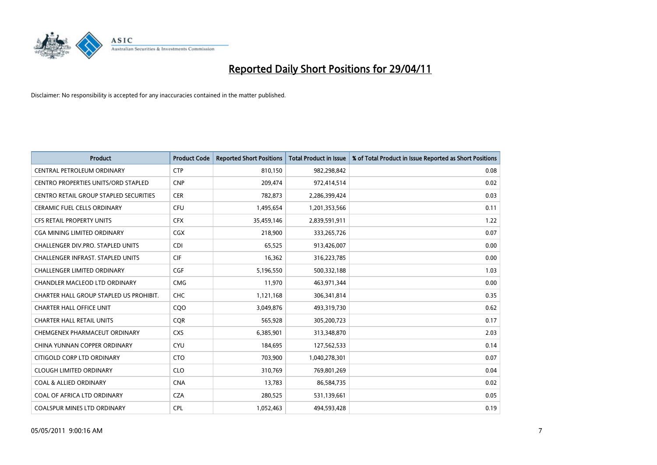

| <b>Product</b>                                | <b>Product Code</b> | <b>Reported Short Positions</b> | Total Product in Issue | % of Total Product in Issue Reported as Short Positions |
|-----------------------------------------------|---------------------|---------------------------------|------------------------|---------------------------------------------------------|
| CENTRAL PETROLEUM ORDINARY                    | <b>CTP</b>          | 810,150                         | 982,298,842            | 0.08                                                    |
| CENTRO PROPERTIES UNITS/ORD STAPLED           | <b>CNP</b>          | 209,474                         | 972,414,514            | 0.02                                                    |
| <b>CENTRO RETAIL GROUP STAPLED SECURITIES</b> | <b>CER</b>          | 782,873                         | 2,286,399,424          | 0.03                                                    |
| CERAMIC FUEL CELLS ORDINARY                   | <b>CFU</b>          | 1,495,654                       | 1,201,353,566          | 0.11                                                    |
| <b>CFS RETAIL PROPERTY UNITS</b>              | <b>CFX</b>          | 35,459,146                      | 2,839,591,911          | 1.22                                                    |
| CGA MINING LIMITED ORDINARY                   | <b>CGX</b>          | 218,900                         | 333,265,726            | 0.07                                                    |
| CHALLENGER DIV.PRO. STAPLED UNITS             | <b>CDI</b>          | 65,525                          | 913,426,007            | 0.00                                                    |
| CHALLENGER INFRAST. STAPLED UNITS             | <b>CIF</b>          | 16,362                          | 316,223,785            | 0.00                                                    |
| CHALLENGER LIMITED ORDINARY                   | <b>CGF</b>          | 5,196,550                       | 500,332,188            | 1.03                                                    |
| CHANDLER MACLEOD LTD ORDINARY                 | <b>CMG</b>          | 11,970                          | 463,971,344            | 0.00                                                    |
| CHARTER HALL GROUP STAPLED US PROHIBIT.       | <b>CHC</b>          | 1,121,168                       | 306,341,814            | 0.35                                                    |
| <b>CHARTER HALL OFFICE UNIT</b>               | COO                 | 3,049,876                       | 493,319,730            | 0.62                                                    |
| <b>CHARTER HALL RETAIL UNITS</b>              | <b>COR</b>          | 565,928                         | 305,200,723            | 0.17                                                    |
| CHEMGENEX PHARMACEUT ORDINARY                 | <b>CXS</b>          | 6,385,901                       | 313,348,870            | 2.03                                                    |
| CHINA YUNNAN COPPER ORDINARY                  | <b>CYU</b>          | 184,695                         | 127,562,533            | 0.14                                                    |
| CITIGOLD CORP LTD ORDINARY                    | <b>CTO</b>          | 703,900                         | 1,040,278,301          | 0.07                                                    |
| <b>CLOUGH LIMITED ORDINARY</b>                | <b>CLO</b>          | 310,769                         | 769,801,269            | 0.04                                                    |
| <b>COAL &amp; ALLIED ORDINARY</b>             | <b>CNA</b>          | 13,783                          | 86,584,735             | 0.02                                                    |
| COAL OF AFRICA LTD ORDINARY                   | <b>CZA</b>          | 280,525                         | 531,139,661            | 0.05                                                    |
| <b>COALSPUR MINES LTD ORDINARY</b>            | <b>CPL</b>          | 1.052.463                       | 494.593.428            | 0.19                                                    |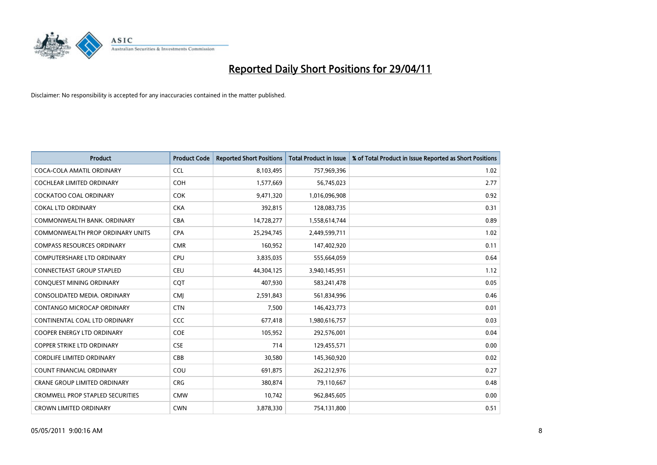

| <b>Product</b>                          | <b>Product Code</b> | <b>Reported Short Positions</b> | Total Product in Issue | % of Total Product in Issue Reported as Short Positions |
|-----------------------------------------|---------------------|---------------------------------|------------------------|---------------------------------------------------------|
| COCA-COLA AMATIL ORDINARY               | <b>CCL</b>          | 8,103,495                       | 757,969,396            | 1.02                                                    |
| COCHLEAR LIMITED ORDINARY               | <b>COH</b>          | 1,577,669                       | 56,745,023             | 2.77                                                    |
| <b>COCKATOO COAL ORDINARY</b>           | <b>COK</b>          | 9,471,320                       | 1,016,096,908          | 0.92                                                    |
| <b>COKAL LTD ORDINARY</b>               | <b>CKA</b>          | 392,815                         | 128,083,735            | 0.31                                                    |
| COMMONWEALTH BANK, ORDINARY             | <b>CBA</b>          | 14,728,277                      | 1,558,614,744          | 0.89                                                    |
| COMMONWEALTH PROP ORDINARY UNITS        | <b>CPA</b>          | 25,294,745                      | 2,449,599,711          | 1.02                                                    |
| <b>COMPASS RESOURCES ORDINARY</b>       | <b>CMR</b>          | 160,952                         | 147,402,920            | 0.11                                                    |
| <b>COMPUTERSHARE LTD ORDINARY</b>       | <b>CPU</b>          | 3,835,035                       | 555,664,059            | 0.64                                                    |
| CONNECTEAST GROUP STAPLED               | <b>CEU</b>          | 44,304,125                      | 3,940,145,951          | 1.12                                                    |
| CONQUEST MINING ORDINARY                | <b>COT</b>          | 407,930                         | 583,241,478            | 0.05                                                    |
| CONSOLIDATED MEDIA, ORDINARY            | CMJ                 | 2,591,843                       | 561,834,996            | 0.46                                                    |
| CONTANGO MICROCAP ORDINARY              | <b>CTN</b>          | 7,500                           | 146,423,773            | 0.01                                                    |
| CONTINENTAL COAL LTD ORDINARY           | CCC                 | 677,418                         | 1,980,616,757          | 0.03                                                    |
| COOPER ENERGY LTD ORDINARY              | <b>COE</b>          | 105,952                         | 292,576,001            | 0.04                                                    |
| <b>COPPER STRIKE LTD ORDINARY</b>       | <b>CSE</b>          | 714                             | 129,455,571            | 0.00                                                    |
| <b>CORDLIFE LIMITED ORDINARY</b>        | CBB                 | 30,580                          | 145,360,920            | 0.02                                                    |
| <b>COUNT FINANCIAL ORDINARY</b>         | COU                 | 691,875                         | 262,212,976            | 0.27                                                    |
| <b>CRANE GROUP LIMITED ORDINARY</b>     | <b>CRG</b>          | 380,874                         | 79,110,667             | 0.48                                                    |
| <b>CROMWELL PROP STAPLED SECURITIES</b> | <b>CMW</b>          | 10,742                          | 962,845,605            | 0.00                                                    |
| <b>CROWN LIMITED ORDINARY</b>           | <b>CWN</b>          | 3,878,330                       | 754,131,800            | 0.51                                                    |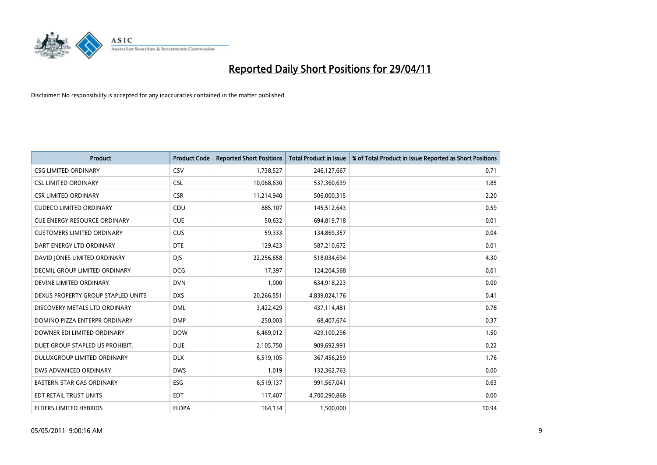

| <b>Product</b>                      | <b>Product Code</b> | <b>Reported Short Positions</b> | <b>Total Product in Issue</b> | % of Total Product in Issue Reported as Short Positions |
|-------------------------------------|---------------------|---------------------------------|-------------------------------|---------------------------------------------------------|
| <b>CSG LIMITED ORDINARY</b>         | CSV                 | 1,738,527                       | 246,127,667                   | 0.71                                                    |
| <b>CSL LIMITED ORDINARY</b>         | <b>CSL</b>          | 10,068,630                      | 537,360,639                   | 1.85                                                    |
| <b>CSR LIMITED ORDINARY</b>         | <b>CSR</b>          | 11,214,940                      | 506,000,315                   | 2.20                                                    |
| <b>CUDECO LIMITED ORDINARY</b>      | CDU                 | 885,107                         | 145,512,643                   | 0.59                                                    |
| <b>CUE ENERGY RESOURCE ORDINARY</b> | <b>CUE</b>          | 50,632                          | 694,819,718                   | 0.01                                                    |
| <b>CUSTOMERS LIMITED ORDINARY</b>   | CUS                 | 59,333                          | 134,869,357                   | 0.04                                                    |
| DART ENERGY LTD ORDINARY            | <b>DTE</b>          | 129,423                         | 587,210,672                   | 0.01                                                    |
| DAVID JONES LIMITED ORDINARY        | <b>DJS</b>          | 22,256,658                      | 518,034,694                   | 4.30                                                    |
| DECMIL GROUP LIMITED ORDINARY       | <b>DCG</b>          | 17,397                          | 124,204,568                   | 0.01                                                    |
| DEVINE LIMITED ORDINARY             | <b>DVN</b>          | 1,000                           | 634,918,223                   | 0.00                                                    |
| DEXUS PROPERTY GROUP STAPLED UNITS  | <b>DXS</b>          | 20,266,551                      | 4,839,024,176                 | 0.41                                                    |
| DISCOVERY METALS LTD ORDINARY       | <b>DML</b>          | 3,422,429                       | 437,114,481                   | 0.78                                                    |
| DOMINO PIZZA ENTERPR ORDINARY       | <b>DMP</b>          | 250,003                         | 68,407,674                    | 0.37                                                    |
| DOWNER EDI LIMITED ORDINARY         | <b>DOW</b>          | 6,469,012                       | 429,100,296                   | 1.50                                                    |
| DUET GROUP STAPLED US PROHIBIT.     | <b>DUE</b>          | 2,105,750                       | 909,692,991                   | 0.22                                                    |
| DULUXGROUP LIMITED ORDINARY         | <b>DLX</b>          | 6,519,105                       | 367,456,259                   | 1.76                                                    |
| DWS ADVANCED ORDINARY               | <b>DWS</b>          | 1,019                           | 132,362,763                   | 0.00                                                    |
| EASTERN STAR GAS ORDINARY           | <b>ESG</b>          | 6,519,137                       | 991,567,041                   | 0.63                                                    |
| EDT RETAIL TRUST UNITS              | <b>EDT</b>          | 117,407                         | 4,700,290,868                 | 0.00                                                    |
| <b>ELDERS LIMITED HYBRIDS</b>       | <b>ELDPA</b>        | 164,134                         | 1,500,000                     | 10.94                                                   |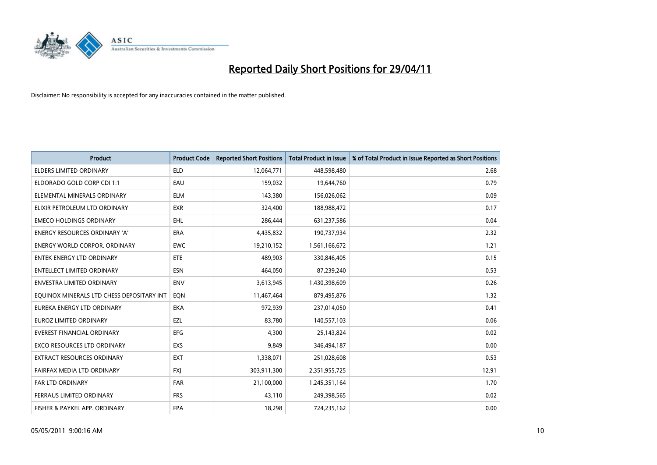

| <b>Product</b>                            | <b>Product Code</b> | <b>Reported Short Positions</b> | <b>Total Product in Issue</b> | % of Total Product in Issue Reported as Short Positions |
|-------------------------------------------|---------------------|---------------------------------|-------------------------------|---------------------------------------------------------|
| <b>ELDERS LIMITED ORDINARY</b>            | <b>ELD</b>          | 12,064,771                      | 448,598,480                   | 2.68                                                    |
| ELDORADO GOLD CORP CDI 1:1                | EAU                 | 159,032                         | 19,644,760                    | 0.79                                                    |
| ELEMENTAL MINERALS ORDINARY               | <b>ELM</b>          | 143,380                         | 156,026,062                   | 0.09                                                    |
| ELIXIR PETROLEUM LTD ORDINARY             | <b>EXR</b>          | 324,400                         | 188,988,472                   | 0.17                                                    |
| <b>EMECO HOLDINGS ORDINARY</b>            | EHL                 | 286,444                         | 631,237,586                   | 0.04                                                    |
| <b>ENERGY RESOURCES ORDINARY 'A'</b>      | <b>ERA</b>          | 4,435,832                       | 190,737,934                   | 2.32                                                    |
| <b>ENERGY WORLD CORPOR, ORDINARY</b>      | <b>EWC</b>          | 19,210,152                      | 1,561,166,672                 | 1.21                                                    |
| <b>ENTEK ENERGY LTD ORDINARY</b>          | <b>ETE</b>          | 489.903                         | 330,846,405                   | 0.15                                                    |
| <b>ENTELLECT LIMITED ORDINARY</b>         | <b>ESN</b>          | 464,050                         | 87,239,240                    | 0.53                                                    |
| <b>ENVESTRA LIMITED ORDINARY</b>          | <b>ENV</b>          | 3,613,945                       | 1,430,398,609                 | 0.26                                                    |
| EQUINOX MINERALS LTD CHESS DEPOSITARY INT | EON                 | 11,467,464                      | 879,495,876                   | 1.32                                                    |
| EUREKA ENERGY LTD ORDINARY                | <b>EKA</b>          | 972,939                         | 237,014,050                   | 0.41                                                    |
| <b>EUROZ LIMITED ORDINARY</b>             | EZL                 | 83,780                          | 140,557,103                   | 0.06                                                    |
| <b>EVEREST FINANCIAL ORDINARY</b>         | <b>EFG</b>          | 4,300                           | 25,143,824                    | 0.02                                                    |
| <b>EXCO RESOURCES LTD ORDINARY</b>        | <b>EXS</b>          | 9.849                           | 346,494,187                   | 0.00                                                    |
| <b>EXTRACT RESOURCES ORDINARY</b>         | <b>EXT</b>          | 1,338,071                       | 251,028,608                   | 0.53                                                    |
| FAIRFAX MEDIA LTD ORDINARY                | <b>FXI</b>          | 303,911,300                     | 2,351,955,725                 | 12.91                                                   |
| <b>FAR LTD ORDINARY</b>                   | <b>FAR</b>          | 21,100,000                      | 1,245,351,164                 | 1.70                                                    |
| FERRAUS LIMITED ORDINARY                  | <b>FRS</b>          | 43,110                          | 249,398,565                   | 0.02                                                    |
| FISHER & PAYKEL APP. ORDINARY             | <b>FPA</b>          | 18,298                          | 724,235,162                   | 0.00                                                    |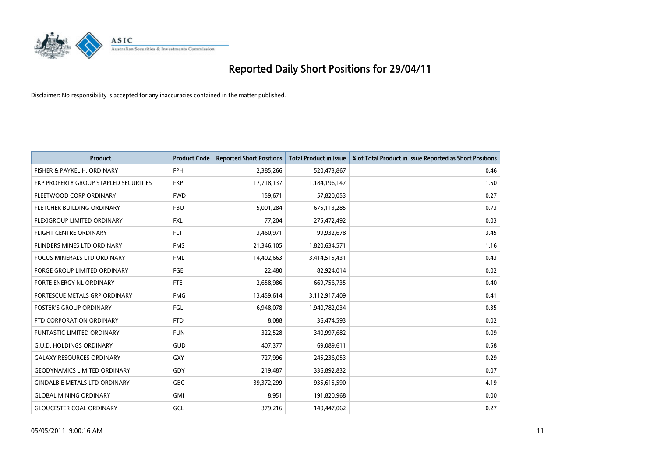

| <b>Product</b>                        | <b>Product Code</b> | <b>Reported Short Positions</b> | <b>Total Product in Issue</b> | % of Total Product in Issue Reported as Short Positions |
|---------------------------------------|---------------------|---------------------------------|-------------------------------|---------------------------------------------------------|
| FISHER & PAYKEL H. ORDINARY           | <b>FPH</b>          | 2,385,266                       | 520,473,867                   | 0.46                                                    |
| FKP PROPERTY GROUP STAPLED SECURITIES | <b>FKP</b>          | 17,718,137                      | 1,184,196,147                 | 1.50                                                    |
| FLEETWOOD CORP ORDINARY               | <b>FWD</b>          | 159,671                         | 57,820,053                    | 0.27                                                    |
| FLETCHER BUILDING ORDINARY            | <b>FBU</b>          | 5,001,284                       | 675,113,285                   | 0.73                                                    |
| FLEXIGROUP LIMITED ORDINARY           | <b>FXL</b>          | 77,204                          | 275,472,492                   | 0.03                                                    |
| <b>FLIGHT CENTRE ORDINARY</b>         | <b>FLT</b>          | 3,460,971                       | 99,932,678                    | 3.45                                                    |
| FLINDERS MINES LTD ORDINARY           | <b>FMS</b>          | 21,346,105                      | 1,820,634,571                 | 1.16                                                    |
| <b>FOCUS MINERALS LTD ORDINARY</b>    | <b>FML</b>          | 14,402,663                      | 3,414,515,431                 | 0.43                                                    |
| FORGE GROUP LIMITED ORDINARY          | <b>FGE</b>          | 22,480                          | 82,924,014                    | 0.02                                                    |
| FORTE ENERGY NL ORDINARY              | <b>FTE</b>          | 2,658,986                       | 669,756,735                   | 0.40                                                    |
| FORTESCUE METALS GRP ORDINARY         | <b>FMG</b>          | 13,459,614                      | 3,112,917,409                 | 0.41                                                    |
| <b>FOSTER'S GROUP ORDINARY</b>        | FGL                 | 6,948,078                       | 1,940,782,034                 | 0.35                                                    |
| FTD CORPORATION ORDINARY              | <b>FTD</b>          | 8,088                           | 36,474,593                    | 0.02                                                    |
| <b>FUNTASTIC LIMITED ORDINARY</b>     | <b>FUN</b>          | 322,528                         | 340,997,682                   | 0.09                                                    |
| <b>G.U.D. HOLDINGS ORDINARY</b>       | <b>GUD</b>          | 407,377                         | 69,089,611                    | 0.58                                                    |
| <b>GALAXY RESOURCES ORDINARY</b>      | <b>GXY</b>          | 727,996                         | 245,236,053                   | 0.29                                                    |
| <b>GEODYNAMICS LIMITED ORDINARY</b>   | GDY                 | 219,487                         | 336,892,832                   | 0.07                                                    |
| <b>GINDALBIE METALS LTD ORDINARY</b>  | <b>GBG</b>          | 39,372,299                      | 935,615,590                   | 4.19                                                    |
| <b>GLOBAL MINING ORDINARY</b>         | <b>GMI</b>          | 8,951                           | 191,820,968                   | 0.00                                                    |
| <b>GLOUCESTER COAL ORDINARY</b>       | GCL                 | 379.216                         | 140.447.062                   | 0.27                                                    |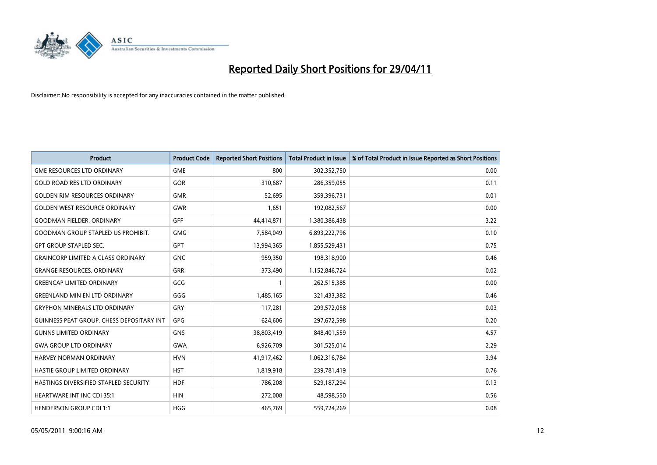

| <b>Product</b>                                   | <b>Product Code</b> | <b>Reported Short Positions</b> | <b>Total Product in Issue</b> | % of Total Product in Issue Reported as Short Positions |
|--------------------------------------------------|---------------------|---------------------------------|-------------------------------|---------------------------------------------------------|
| <b>GME RESOURCES LTD ORDINARY</b>                | <b>GME</b>          | 800                             | 302,352,750                   | 0.00                                                    |
| <b>GOLD ROAD RES LTD ORDINARY</b>                | GOR                 | 310,687                         | 286,359,055                   | 0.11                                                    |
| <b>GOLDEN RIM RESOURCES ORDINARY</b>             | <b>GMR</b>          | 52,695                          | 359,396,731                   | 0.01                                                    |
| <b>GOLDEN WEST RESOURCE ORDINARY</b>             | <b>GWR</b>          | 1,651                           | 192,082,567                   | 0.00                                                    |
| <b>GOODMAN FIELDER, ORDINARY</b>                 | <b>GFF</b>          | 44,414,871                      | 1,380,386,438                 | 3.22                                                    |
| <b>GOODMAN GROUP STAPLED US PROHIBIT.</b>        | <b>GMG</b>          | 7,584,049                       | 6,893,222,796                 | 0.10                                                    |
| <b>GPT GROUP STAPLED SEC.</b>                    | <b>GPT</b>          | 13,994,365                      | 1,855,529,431                 | 0.75                                                    |
| <b>GRAINCORP LIMITED A CLASS ORDINARY</b>        | <b>GNC</b>          | 959,350                         | 198,318,900                   | 0.46                                                    |
| <b>GRANGE RESOURCES. ORDINARY</b>                | <b>GRR</b>          | 373,490                         | 1,152,846,724                 | 0.02                                                    |
| <b>GREENCAP LIMITED ORDINARY</b>                 | GCG                 |                                 | 262,515,385                   | 0.00                                                    |
| <b>GREENLAND MIN EN LTD ORDINARY</b>             | GGG                 | 1,485,165                       | 321,433,382                   | 0.46                                                    |
| <b>GRYPHON MINERALS LTD ORDINARY</b>             | GRY                 | 117,281                         | 299,572,058                   | 0.03                                                    |
| <b>GUINNESS PEAT GROUP. CHESS DEPOSITARY INT</b> | <b>GPG</b>          | 624,606                         | 297,672,598                   | 0.20                                                    |
| <b>GUNNS LIMITED ORDINARY</b>                    | <b>GNS</b>          | 38,803,419                      | 848,401,559                   | 4.57                                                    |
| <b>GWA GROUP LTD ORDINARY</b>                    | <b>GWA</b>          | 6,926,709                       | 301,525,014                   | 2.29                                                    |
| <b>HARVEY NORMAN ORDINARY</b>                    | <b>HVN</b>          | 41,917,462                      | 1,062,316,784                 | 3.94                                                    |
| HASTIE GROUP LIMITED ORDINARY                    | <b>HST</b>          | 1,819,918                       | 239,781,419                   | 0.76                                                    |
| HASTINGS DIVERSIFIED STAPLED SECURITY            | <b>HDF</b>          | 786,208                         | 529,187,294                   | 0.13                                                    |
| <b>HEARTWARE INT INC CDI 35:1</b>                | <b>HIN</b>          | 272,008                         | 48,598,550                    | 0.56                                                    |
| <b>HENDERSON GROUP CDI 1:1</b>                   | <b>HGG</b>          | 465,769                         | 559,724,269                   | 0.08                                                    |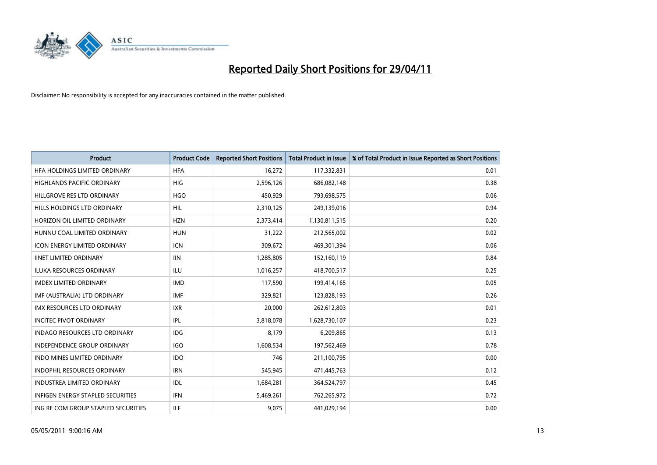

| <b>Product</b>                           | <b>Product Code</b> | <b>Reported Short Positions</b> | <b>Total Product in Issue</b> | % of Total Product in Issue Reported as Short Positions |
|------------------------------------------|---------------------|---------------------------------|-------------------------------|---------------------------------------------------------|
| HFA HOLDINGS LIMITED ORDINARY            | <b>HFA</b>          | 16,272                          | 117,332,831                   | 0.01                                                    |
| HIGHLANDS PACIFIC ORDINARY               | HIG                 | 2,596,126                       | 686,082,148                   | 0.38                                                    |
| HILLGROVE RES LTD ORDINARY               | <b>HGO</b>          | 450,929                         | 793,698,575                   | 0.06                                                    |
| HILLS HOLDINGS LTD ORDINARY              | HIL                 | 2,310,125                       | 249,139,016                   | 0.94                                                    |
| HORIZON OIL LIMITED ORDINARY             | <b>HZN</b>          | 2,373,414                       | 1,130,811,515                 | 0.20                                                    |
| HUNNU COAL LIMITED ORDINARY              | <b>HUN</b>          | 31,222                          | 212,565,002                   | 0.02                                                    |
| <b>ICON ENERGY LIMITED ORDINARY</b>      | <b>ICN</b>          | 309,672                         | 469,301,394                   | 0.06                                                    |
| <b>IINET LIMITED ORDINARY</b>            | <b>IIN</b>          | 1,285,805                       | 152,160,119                   | 0.84                                                    |
| ILUKA RESOURCES ORDINARY                 | ILU                 | 1,016,257                       | 418,700,517                   | 0.25                                                    |
| <b>IMDEX LIMITED ORDINARY</b>            | <b>IMD</b>          | 117,590                         | 199,414,165                   | 0.05                                                    |
| IMF (AUSTRALIA) LTD ORDINARY             | <b>IMF</b>          | 329,821                         | 123,828,193                   | 0.26                                                    |
| <b>IMX RESOURCES LTD ORDINARY</b>        | <b>IXR</b>          | 20,000                          | 262,612,803                   | 0.01                                                    |
| <b>INCITEC PIVOT ORDINARY</b>            | <b>IPL</b>          | 3,818,078                       | 1,628,730,107                 | 0.23                                                    |
| INDAGO RESOURCES LTD ORDINARY            | IDG                 | 8,179                           | 6,209,865                     | 0.13                                                    |
| <b>INDEPENDENCE GROUP ORDINARY</b>       | <b>IGO</b>          | 1,608,534                       | 197,562,469                   | 0.78                                                    |
| INDO MINES LIMITED ORDINARY              | <b>IDO</b>          | 746                             | 211,100,795                   | 0.00                                                    |
| <b>INDOPHIL RESOURCES ORDINARY</b>       | <b>IRN</b>          | 545,945                         | 471,445,763                   | 0.12                                                    |
| <b>INDUSTREA LIMITED ORDINARY</b>        | IDL                 | 1,684,281                       | 364,524,797                   | 0.45                                                    |
| <b>INFIGEN ENERGY STAPLED SECURITIES</b> | <b>IFN</b>          | 5,469,261                       | 762,265,972                   | 0.72                                                    |
| ING RE COM GROUP STAPLED SECURITIES      | <b>ILF</b>          | 9.075                           | 441,029,194                   | 0.00                                                    |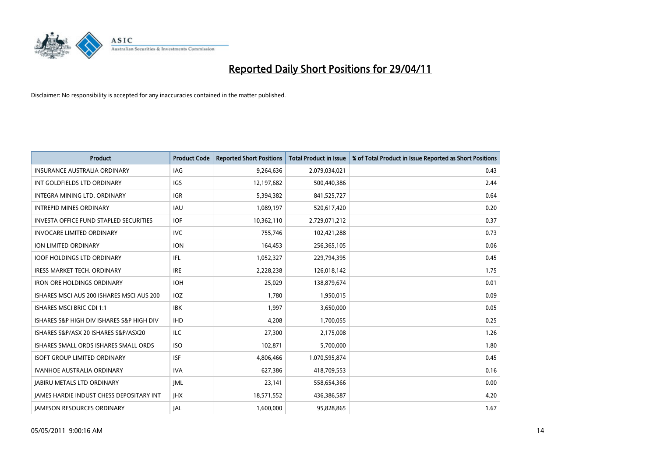

| <b>Product</b>                                  | <b>Product Code</b> | <b>Reported Short Positions</b> | <b>Total Product in Issue</b> | % of Total Product in Issue Reported as Short Positions |
|-------------------------------------------------|---------------------|---------------------------------|-------------------------------|---------------------------------------------------------|
| <b>INSURANCE AUSTRALIA ORDINARY</b>             | <b>IAG</b>          | 9,264,636                       | 2,079,034,021                 | 0.43                                                    |
| INT GOLDFIELDS LTD ORDINARY                     | <b>IGS</b>          | 12,197,682                      | 500,440,386                   | 2.44                                                    |
| INTEGRA MINING LTD, ORDINARY                    | <b>IGR</b>          | 5,394,382                       | 841,525,727                   | 0.64                                                    |
| <b>INTREPID MINES ORDINARY</b>                  | <b>IAU</b>          | 1,089,197                       | 520,617,420                   | 0.20                                                    |
| <b>INVESTA OFFICE FUND STAPLED SECURITIES</b>   | <b>IOF</b>          | 10,362,110                      | 2,729,071,212                 | 0.37                                                    |
| <b>INVOCARE LIMITED ORDINARY</b>                | <b>IVC</b>          | 755,746                         | 102,421,288                   | 0.73                                                    |
| <b>ION LIMITED ORDINARY</b>                     | <b>ION</b>          | 164,453                         | 256,365,105                   | 0.06                                                    |
| <b>IOOF HOLDINGS LTD ORDINARY</b>               | <b>IFL</b>          | 1,052,327                       | 229,794,395                   | 0.45                                                    |
| IRESS MARKET TECH. ORDINARY                     | <b>IRE</b>          | 2,228,238                       | 126,018,142                   | 1.75                                                    |
| <b>IRON ORE HOLDINGS ORDINARY</b>               | <b>IOH</b>          | 25,029                          | 138,879,674                   | 0.01                                                    |
| ISHARES MSCI AUS 200 ISHARES MSCI AUS 200       | <b>IOZ</b>          | 1,780                           | 1,950,015                     | 0.09                                                    |
| <b>ISHARES MSCI BRIC CDI 1:1</b>                | <b>IBK</b>          | 1.997                           | 3,650,000                     | 0.05                                                    |
| ISHARES S&P HIGH DIV ISHARES S&P HIGH DIV       | <b>IHD</b>          | 4,208                           | 1,700,055                     | 0.25                                                    |
| ISHARES S&P/ASX 20 ISHARES S&P/ASX20            | ILC                 | 27,300                          | 2,175,008                     | 1.26                                                    |
| ISHARES SMALL ORDS ISHARES SMALL ORDS           | <b>ISO</b>          | 102,871                         | 5,700,000                     | 1.80                                                    |
| <b>ISOFT GROUP LIMITED ORDINARY</b>             | <b>ISF</b>          | 4,806,466                       | 1,070,595,874                 | 0.45                                                    |
| <b>IVANHOE AUSTRALIA ORDINARY</b>               | <b>IVA</b>          | 627,386                         | 418,709,553                   | 0.16                                                    |
| <b>JABIRU METALS LTD ORDINARY</b>               | <b>JML</b>          | 23,141                          | 558,654,366                   | 0.00                                                    |
| <b>IAMES HARDIE INDUST CHESS DEPOSITARY INT</b> | <b>IHX</b>          | 18,571,552                      | 436,386,587                   | 4.20                                                    |
| <b>IAMESON RESOURCES ORDINARY</b>               | <b>JAL</b>          | 1,600,000                       | 95,828,865                    | 1.67                                                    |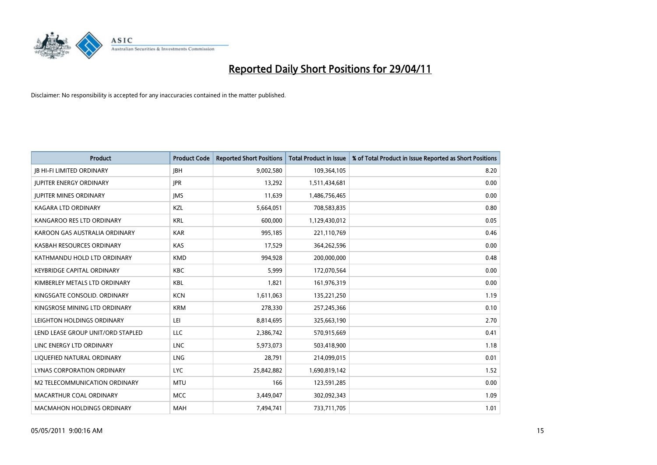

| <b>Product</b>                    | <b>Product Code</b> | <b>Reported Short Positions</b> | <b>Total Product in Issue</b> | % of Total Product in Issue Reported as Short Positions |
|-----------------------------------|---------------------|---------------------------------|-------------------------------|---------------------------------------------------------|
| <b>JB HI-FI LIMITED ORDINARY</b>  | <b>IBH</b>          | 9,002,580                       | 109,364,105                   | 8.20                                                    |
| <b>JUPITER ENERGY ORDINARY</b>    | <b>JPR</b>          | 13,292                          | 1,511,434,681                 | 0.00                                                    |
| <b>JUPITER MINES ORDINARY</b>     | <b>IMS</b>          | 11,639                          | 1,486,756,465                 | 0.00                                                    |
| KAGARA LTD ORDINARY               | KZL                 | 5,664,051                       | 708,583,835                   | 0.80                                                    |
| KANGAROO RES LTD ORDINARY         | <b>KRL</b>          | 600,000                         | 1,129,430,012                 | 0.05                                                    |
| KAROON GAS AUSTRALIA ORDINARY     | <b>KAR</b>          | 995,185                         | 221,110,769                   | 0.46                                                    |
| KASBAH RESOURCES ORDINARY         | <b>KAS</b>          | 17,529                          | 364,262,596                   | 0.00                                                    |
| KATHMANDU HOLD LTD ORDINARY       | <b>KMD</b>          | 994,928                         | 200,000,000                   | 0.48                                                    |
| <b>KEYBRIDGE CAPITAL ORDINARY</b> | <b>KBC</b>          | 5,999                           | 172,070,564                   | 0.00                                                    |
| KIMBERLEY METALS LTD ORDINARY     | <b>KBL</b>          | 1,821                           | 161,976,319                   | 0.00                                                    |
| KINGSGATE CONSOLID. ORDINARY      | <b>KCN</b>          | 1,611,063                       | 135,221,250                   | 1.19                                                    |
| KINGSROSE MINING LTD ORDINARY     | <b>KRM</b>          | 278,330                         | 257,245,366                   | 0.10                                                    |
| LEIGHTON HOLDINGS ORDINARY        | LEI                 | 8,814,695                       | 325,663,190                   | 2.70                                                    |
| LEND LEASE GROUP UNIT/ORD STAPLED | LLC                 | 2,386,742                       | 570,915,669                   | 0.41                                                    |
| LINC ENERGY LTD ORDINARY          | <b>LNC</b>          | 5,973,073                       | 503,418,900                   | 1.18                                                    |
| LIQUEFIED NATURAL ORDINARY        | <b>LNG</b>          | 28,791                          | 214,099,015                   | 0.01                                                    |
| <b>LYNAS CORPORATION ORDINARY</b> | <b>LYC</b>          | 25,842,882                      | 1,690,819,142                 | 1.52                                                    |
| M2 TELECOMMUNICATION ORDINARY     | <b>MTU</b>          | 166                             | 123,591,285                   | 0.00                                                    |
| MACARTHUR COAL ORDINARY           | <b>MCC</b>          | 3,449,047                       | 302,092,343                   | 1.09                                                    |
| <b>MACMAHON HOLDINGS ORDINARY</b> | MAH                 | 7,494,741                       | 733,711,705                   | 1.01                                                    |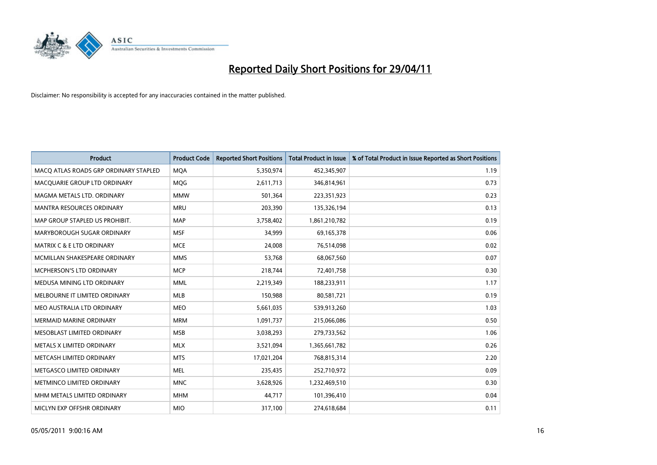

| <b>Product</b>                        | <b>Product Code</b> | <b>Reported Short Positions</b> | <b>Total Product in Issue</b> | % of Total Product in Issue Reported as Short Positions |
|---------------------------------------|---------------------|---------------------------------|-------------------------------|---------------------------------------------------------|
| MACQ ATLAS ROADS GRP ORDINARY STAPLED | <b>MQA</b>          | 5,350,974                       | 452,345,907                   | 1.19                                                    |
| MACQUARIE GROUP LTD ORDINARY          | <b>MOG</b>          | 2,611,713                       | 346,814,961                   | 0.73                                                    |
| MAGMA METALS LTD. ORDINARY            | <b>MMW</b>          | 501,364                         | 223,351,923                   | 0.23                                                    |
| MANTRA RESOURCES ORDINARY             | <b>MRU</b>          | 203,390                         | 135,326,194                   | 0.13                                                    |
| MAP GROUP STAPLED US PROHIBIT.        | <b>MAP</b>          | 3,758,402                       | 1,861,210,782                 | 0.19                                                    |
| MARYBOROUGH SUGAR ORDINARY            | <b>MSF</b>          | 34,999                          | 69,165,378                    | 0.06                                                    |
| MATRIX C & E LTD ORDINARY             | <b>MCE</b>          | 24,008                          | 76,514,098                    | 0.02                                                    |
| MCMILLAN SHAKESPEARE ORDINARY         | <b>MMS</b>          | 53,768                          | 68,067,560                    | 0.07                                                    |
| MCPHERSON'S LTD ORDINARY              | <b>MCP</b>          | 218,744                         | 72,401,758                    | 0.30                                                    |
| MEDUSA MINING LTD ORDINARY            | <b>MML</b>          | 2,219,349                       | 188,233,911                   | 1.17                                                    |
| MELBOURNE IT LIMITED ORDINARY         | <b>MLB</b>          | 150,988                         | 80,581,721                    | 0.19                                                    |
| MEO AUSTRALIA LTD ORDINARY            | <b>MEO</b>          | 5,661,035                       | 539,913,260                   | 1.03                                                    |
| MERMAID MARINE ORDINARY               | <b>MRM</b>          | 1,091,737                       | 215,066,086                   | 0.50                                                    |
| MESOBLAST LIMITED ORDINARY            | <b>MSB</b>          | 3,038,293                       | 279,733,562                   | 1.06                                                    |
| METALS X LIMITED ORDINARY             | <b>MLX</b>          | 3,521,094                       | 1,365,661,782                 | 0.26                                                    |
| METCASH LIMITED ORDINARY              | <b>MTS</b>          | 17,021,204                      | 768,815,314                   | 2.20                                                    |
| METGASCO LIMITED ORDINARY             | <b>MEL</b>          | 235,435                         | 252,710,972                   | 0.09                                                    |
| METMINCO LIMITED ORDINARY             | <b>MNC</b>          | 3,628,926                       | 1,232,469,510                 | 0.30                                                    |
| MHM METALS LIMITED ORDINARY           | <b>MHM</b>          | 44,717                          | 101,396,410                   | 0.04                                                    |
| MICLYN EXP OFFSHR ORDINARY            | <b>MIO</b>          | 317,100                         | 274,618,684                   | 0.11                                                    |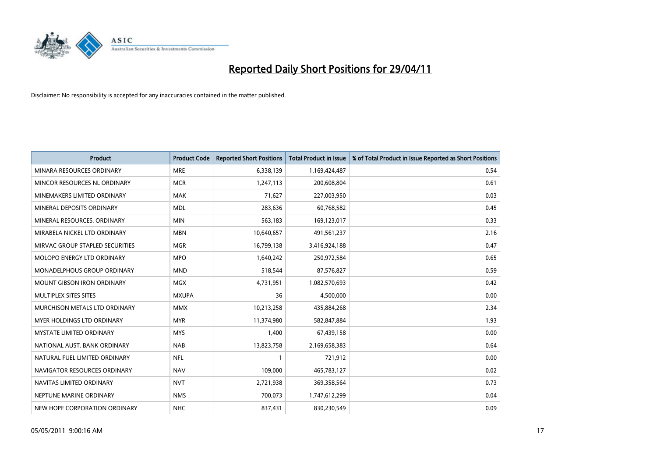

| <b>Product</b>                       | <b>Product Code</b> | <b>Reported Short Positions</b> | <b>Total Product in Issue</b> | % of Total Product in Issue Reported as Short Positions |
|--------------------------------------|---------------------|---------------------------------|-------------------------------|---------------------------------------------------------|
| MINARA RESOURCES ORDINARY            | <b>MRE</b>          | 6,338,139                       | 1,169,424,487                 | 0.54                                                    |
| MINCOR RESOURCES NL ORDINARY         | <b>MCR</b>          | 1,247,113                       | 200,608,804                   | 0.61                                                    |
| MINEMAKERS LIMITED ORDINARY          | <b>MAK</b>          | 71,627                          | 227,003,950                   | 0.03                                                    |
| MINERAL DEPOSITS ORDINARY            | <b>MDL</b>          | 283,636                         | 60,768,582                    | 0.45                                                    |
| MINERAL RESOURCES, ORDINARY          | <b>MIN</b>          | 563,183                         | 169,123,017                   | 0.33                                                    |
| MIRABELA NICKEL LTD ORDINARY         | <b>MBN</b>          | 10,640,657                      | 491,561,237                   | 2.16                                                    |
| MIRVAC GROUP STAPLED SECURITIES      | <b>MGR</b>          | 16,799,138                      | 3,416,924,188                 | 0.47                                                    |
| <b>MOLOPO ENERGY LTD ORDINARY</b>    | <b>MPO</b>          | 1,640,242                       | 250,972,584                   | 0.65                                                    |
| MONADELPHOUS GROUP ORDINARY          | <b>MND</b>          | 518,544                         | 87,576,827                    | 0.59                                                    |
| <b>MOUNT GIBSON IRON ORDINARY</b>    | MGX                 | 4,731,951                       | 1,082,570,693                 | 0.42                                                    |
| MULTIPLEX SITES SITES                | <b>MXUPA</b>        | 36                              | 4,500,000                     | 0.00                                                    |
| <b>MURCHISON METALS LTD ORDINARY</b> | <b>MMX</b>          | 10,213,258                      | 435,884,268                   | 2.34                                                    |
| <b>MYER HOLDINGS LTD ORDINARY</b>    | <b>MYR</b>          | 11,374,980                      | 582,847,884                   | 1.93                                                    |
| <b>MYSTATE LIMITED ORDINARY</b>      | <b>MYS</b>          | 1,400                           | 67,439,158                    | 0.00                                                    |
| NATIONAL AUST. BANK ORDINARY         | <b>NAB</b>          | 13,823,758                      | 2,169,658,383                 | 0.64                                                    |
| NATURAL FUEL LIMITED ORDINARY        | <b>NFL</b>          |                                 | 721,912                       | 0.00                                                    |
| NAVIGATOR RESOURCES ORDINARY         | <b>NAV</b>          | 109,000                         | 465,783,127                   | 0.02                                                    |
| NAVITAS LIMITED ORDINARY             | <b>NVT</b>          | 2,721,938                       | 369,358,564                   | 0.73                                                    |
| NEPTUNE MARINE ORDINARY              | <b>NMS</b>          | 700,073                         | 1,747,612,299                 | 0.04                                                    |
| NEW HOPE CORPORATION ORDINARY        | <b>NHC</b>          | 837,431                         | 830,230,549                   | 0.09                                                    |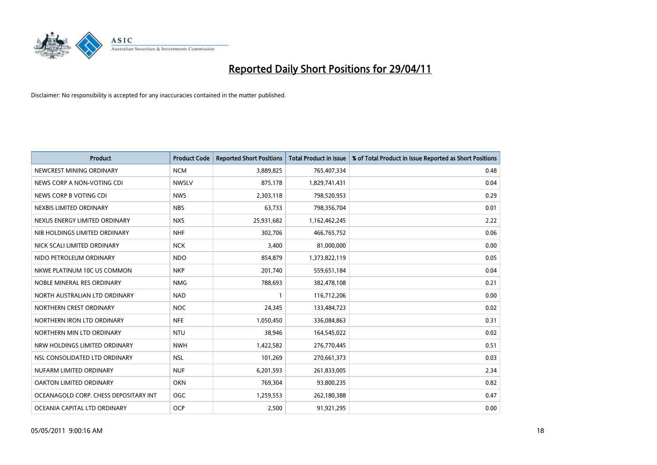

| <b>Product</b>                        | <b>Product Code</b> | <b>Reported Short Positions</b> | <b>Total Product in Issue</b> | % of Total Product in Issue Reported as Short Positions |
|---------------------------------------|---------------------|---------------------------------|-------------------------------|---------------------------------------------------------|
| NEWCREST MINING ORDINARY              | <b>NCM</b>          | 3,889,825                       | 765,407,334                   | 0.48                                                    |
| NEWS CORP A NON-VOTING CDI            | <b>NWSLV</b>        | 875,178                         | 1,829,741,431                 | 0.04                                                    |
| NEWS CORP B VOTING CDI                | <b>NWS</b>          | 2,303,118                       | 798,520,953                   | 0.29                                                    |
| NEXBIS LIMITED ORDINARY               | <b>NBS</b>          | 63,733                          | 798,356,704                   | 0.01                                                    |
| NEXUS ENERGY LIMITED ORDINARY         | <b>NXS</b>          | 25,931,682                      | 1,162,462,245                 | 2.22                                                    |
| NIB HOLDINGS LIMITED ORDINARY         | <b>NHF</b>          | 302,706                         | 466,765,752                   | 0.06                                                    |
| NICK SCALI LIMITED ORDINARY           | <b>NCK</b>          | 3,400                           | 81,000,000                    | 0.00                                                    |
| NIDO PETROLEUM ORDINARY               | <b>NDO</b>          | 854,879                         | 1,373,822,119                 | 0.05                                                    |
| NKWE PLATINUM 10C US COMMON           | <b>NKP</b>          | 201,740                         | 559,651,184                   | 0.04                                                    |
| NOBLE MINERAL RES ORDINARY            | <b>NMG</b>          | 788,693                         | 382,478,108                   | 0.21                                                    |
| NORTH AUSTRALIAN LTD ORDINARY         | <b>NAD</b>          |                                 | 116,712,206                   | 0.00                                                    |
| NORTHERN CREST ORDINARY               | <b>NOC</b>          | 24,345                          | 133,484,723                   | 0.02                                                    |
| NORTHERN IRON LTD ORDINARY            | <b>NFE</b>          | 1,050,450                       | 336,084,863                   | 0.31                                                    |
| NORTHERN MIN LTD ORDINARY             | <b>NTU</b>          | 38,946                          | 164,545,022                   | 0.02                                                    |
| NRW HOLDINGS LIMITED ORDINARY         | <b>NWH</b>          | 1,422,582                       | 276,770,445                   | 0.51                                                    |
| NSL CONSOLIDATED LTD ORDINARY         | <b>NSL</b>          | 101,269                         | 270,661,373                   | 0.03                                                    |
| NUFARM LIMITED ORDINARY               | <b>NUF</b>          | 6,201,593                       | 261,833,005                   | 2.34                                                    |
| OAKTON LIMITED ORDINARY               | <b>OKN</b>          | 769,304                         | 93,800,235                    | 0.82                                                    |
| OCEANAGOLD CORP. CHESS DEPOSITARY INT | <b>OGC</b>          | 1,259,553                       | 262,180,388                   | 0.47                                                    |
| OCEANIA CAPITAL LTD ORDINARY          | <b>OCP</b>          | 2,500                           | 91,921,295                    | 0.00                                                    |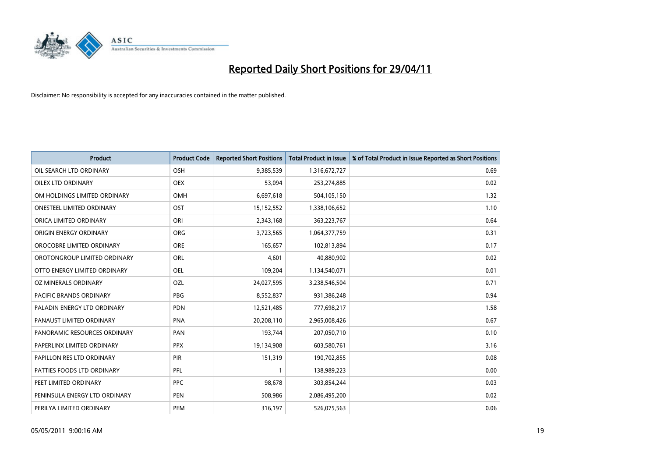

| <b>Product</b>                 | <b>Product Code</b> | <b>Reported Short Positions</b> | <b>Total Product in Issue</b> | % of Total Product in Issue Reported as Short Positions |
|--------------------------------|---------------------|---------------------------------|-------------------------------|---------------------------------------------------------|
| OIL SEARCH LTD ORDINARY        | <b>OSH</b>          | 9,385,539                       | 1,316,672,727                 | 0.69                                                    |
| OILEX LTD ORDINARY             | <b>OEX</b>          | 53,094                          | 253,274,885                   | 0.02                                                    |
| OM HOLDINGS LIMITED ORDINARY   | <b>OMH</b>          | 6,697,618                       | 504,105,150                   | 1.32                                                    |
| ONESTEEL LIMITED ORDINARY      | OST                 | 15,152,552                      | 1,338,106,652                 | 1.10                                                    |
| ORICA LIMITED ORDINARY         | ORI                 | 2,343,168                       | 363,223,767                   | 0.64                                                    |
| ORIGIN ENERGY ORDINARY         | <b>ORG</b>          | 3,723,565                       | 1,064,377,759                 | 0.31                                                    |
| OROCOBRE LIMITED ORDINARY      | <b>ORE</b>          | 165,657                         | 102,813,894                   | 0.17                                                    |
| OROTONGROUP LIMITED ORDINARY   | ORL                 | 4,601                           | 40,880,902                    | 0.02                                                    |
| OTTO ENERGY LIMITED ORDINARY   | <b>OEL</b>          | 109,204                         | 1,134,540,071                 | 0.01                                                    |
| OZ MINERALS ORDINARY           | OZL                 | 24,027,595                      | 3,238,546,504                 | 0.71                                                    |
| <b>PACIFIC BRANDS ORDINARY</b> | <b>PBG</b>          | 8,552,837                       | 931,386,248                   | 0.94                                                    |
| PALADIN ENERGY LTD ORDINARY    | PDN                 | 12,521,485                      | 777,698,217                   | 1.58                                                    |
| PANAUST LIMITED ORDINARY       | <b>PNA</b>          | 20,208,110                      | 2,965,008,426                 | 0.67                                                    |
| PANORAMIC RESOURCES ORDINARY   | PAN                 | 193,744                         | 207,050,710                   | 0.10                                                    |
| PAPERLINX LIMITED ORDINARY     | <b>PPX</b>          | 19,134,908                      | 603,580,761                   | 3.16                                                    |
| PAPILLON RES LTD ORDINARY      | PIR                 | 151,319                         | 190,702,855                   | 0.08                                                    |
| PATTIES FOODS LTD ORDINARY     | PFL                 |                                 | 138,989,223                   | 0.00                                                    |
| PEET LIMITED ORDINARY          | <b>PPC</b>          | 98,678                          | 303,854,244                   | 0.03                                                    |
| PENINSULA ENERGY LTD ORDINARY  | <b>PEN</b>          | 508,986                         | 2,086,495,200                 | 0.02                                                    |
| PERILYA LIMITED ORDINARY       | PEM                 | 316,197                         | 526,075,563                   | 0.06                                                    |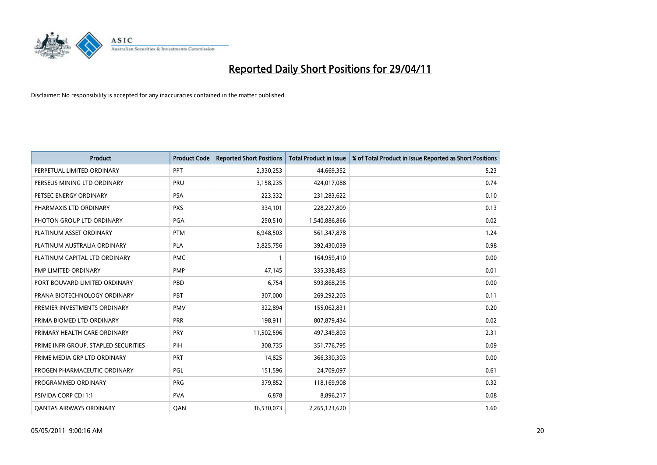

| <b>Product</b>                       | <b>Product Code</b> | <b>Reported Short Positions</b> | <b>Total Product in Issue</b> | % of Total Product in Issue Reported as Short Positions |
|--------------------------------------|---------------------|---------------------------------|-------------------------------|---------------------------------------------------------|
| PERPETUAL LIMITED ORDINARY           | PPT                 | 2,330,253                       | 44,669,352                    | 5.23                                                    |
| PERSEUS MINING LTD ORDINARY          | PRU                 | 3,158,235                       | 424,017,088                   | 0.74                                                    |
| PETSEC ENERGY ORDINARY               | <b>PSA</b>          | 223,332                         | 231,283,622                   | 0.10                                                    |
| PHARMAXIS LTD ORDINARY               | <b>PXS</b>          | 334,101                         | 228,227,809                   | 0.13                                                    |
| PHOTON GROUP LTD ORDINARY            | PGA                 | 250,510                         | 1,540,886,866                 | 0.02                                                    |
| PLATINUM ASSET ORDINARY              | <b>PTM</b>          | 6,948,503                       | 561,347,878                   | 1.24                                                    |
| PLATINUM AUSTRALIA ORDINARY          | <b>PLA</b>          | 3,825,756                       | 392,430,039                   | 0.98                                                    |
| PLATINUM CAPITAL LTD ORDINARY        | <b>PMC</b>          |                                 | 164,959,410                   | 0.00                                                    |
| <b>PMP LIMITED ORDINARY</b>          | <b>PMP</b>          | 47,145                          | 335,338,483                   | 0.01                                                    |
| PORT BOUVARD LIMITED ORDINARY        | PBD                 | 6,754                           | 593,868,295                   | 0.00                                                    |
| PRANA BIOTECHNOLOGY ORDINARY         | PBT                 | 307,000                         | 269,292,203                   | 0.11                                                    |
| PREMIER INVESTMENTS ORDINARY         | <b>PMV</b>          | 322,894                         | 155,062,831                   | 0.20                                                    |
| PRIMA BIOMED LTD ORDINARY            | <b>PRR</b>          | 198,911                         | 807,879,434                   | 0.02                                                    |
| PRIMARY HEALTH CARE ORDINARY         | PRY                 | 11,502,596                      | 497,349,803                   | 2.31                                                    |
| PRIME INFR GROUP. STAPLED SECURITIES | PIH                 | 308,735                         | 351,776,795                   | 0.09                                                    |
| PRIME MEDIA GRP LTD ORDINARY         | PRT                 | 14,825                          | 366,330,303                   | 0.00                                                    |
| PROGEN PHARMACEUTIC ORDINARY         | <b>PGL</b>          | 151,596                         | 24,709,097                    | 0.61                                                    |
| PROGRAMMED ORDINARY                  | <b>PRG</b>          | 379,852                         | 118,169,908                   | 0.32                                                    |
| PSIVIDA CORP CDI 1:1                 | <b>PVA</b>          | 6,878                           | 8,896,217                     | 0.08                                                    |
| <b>QANTAS AIRWAYS ORDINARY</b>       | QAN                 | 36,530,073                      | 2,265,123,620                 | 1.60                                                    |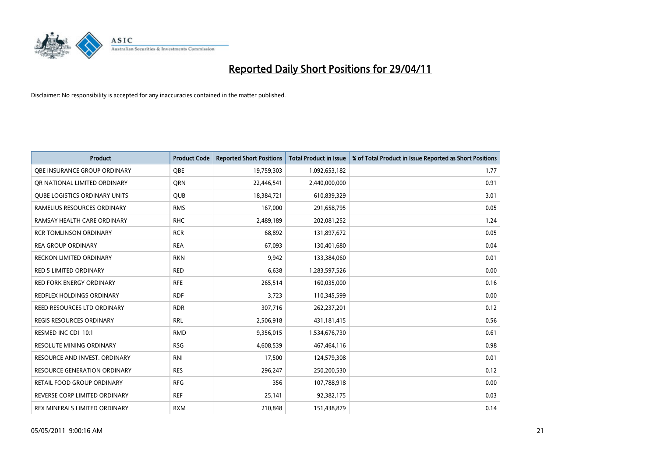

| <b>Product</b>                       | <b>Product Code</b> | <b>Reported Short Positions</b> | <b>Total Product in Issue</b> | % of Total Product in Issue Reported as Short Positions |
|--------------------------------------|---------------------|---------------------------------|-------------------------------|---------------------------------------------------------|
| OBE INSURANCE GROUP ORDINARY         | <b>OBE</b>          | 19,759,303                      | 1,092,653,182                 | 1.77                                                    |
| OR NATIONAL LIMITED ORDINARY         | <b>ORN</b>          | 22,446,541                      | 2,440,000,000                 | 0.91                                                    |
| <b>QUBE LOGISTICS ORDINARY UNITS</b> | <b>QUB</b>          | 18,384,721                      | 610,839,329                   | 3.01                                                    |
| RAMELIUS RESOURCES ORDINARY          | <b>RMS</b>          | 167,000                         | 291,658,795                   | 0.05                                                    |
| RAMSAY HEALTH CARE ORDINARY          | <b>RHC</b>          | 2,489,189                       | 202,081,252                   | 1.24                                                    |
| <b>RCR TOMLINSON ORDINARY</b>        | <b>RCR</b>          | 68,892                          | 131,897,672                   | 0.05                                                    |
| <b>REA GROUP ORDINARY</b>            | <b>REA</b>          | 67,093                          | 130,401,680                   | 0.04                                                    |
| RECKON LIMITED ORDINARY              | <b>RKN</b>          | 9,942                           | 133,384,060                   | 0.01                                                    |
| <b>RED 5 LIMITED ORDINARY</b>        | <b>RED</b>          | 6,638                           | 1,283,597,526                 | 0.00                                                    |
| <b>RED FORK ENERGY ORDINARY</b>      | <b>RFE</b>          | 265,514                         | 160,035,000                   | 0.16                                                    |
| REDFLEX HOLDINGS ORDINARY            | <b>RDF</b>          | 3,723                           | 110,345,599                   | 0.00                                                    |
| REED RESOURCES LTD ORDINARY          | <b>RDR</b>          | 307,716                         | 262,237,201                   | 0.12                                                    |
| <b>REGIS RESOURCES ORDINARY</b>      | <b>RRL</b>          | 2,506,918                       | 431,181,415                   | 0.56                                                    |
| RESMED INC CDI 10:1                  | <b>RMD</b>          | 9,356,015                       | 1,534,676,730                 | 0.61                                                    |
| RESOLUTE MINING ORDINARY             | <b>RSG</b>          | 4,608,539                       | 467,464,116                   | 0.98                                                    |
| RESOURCE AND INVEST. ORDINARY        | <b>RNI</b>          | 17,500                          | 124,579,308                   | 0.01                                                    |
| <b>RESOURCE GENERATION ORDINARY</b>  | <b>RES</b>          | 296,247                         | 250,200,530                   | 0.12                                                    |
| RETAIL FOOD GROUP ORDINARY           | <b>RFG</b>          | 356                             | 107,788,918                   | 0.00                                                    |
| REVERSE CORP LIMITED ORDINARY        | <b>REF</b>          | 25,141                          | 92,382,175                    | 0.03                                                    |
| REX MINERALS LIMITED ORDINARY        | <b>RXM</b>          | 210,848                         | 151,438,879                   | 0.14                                                    |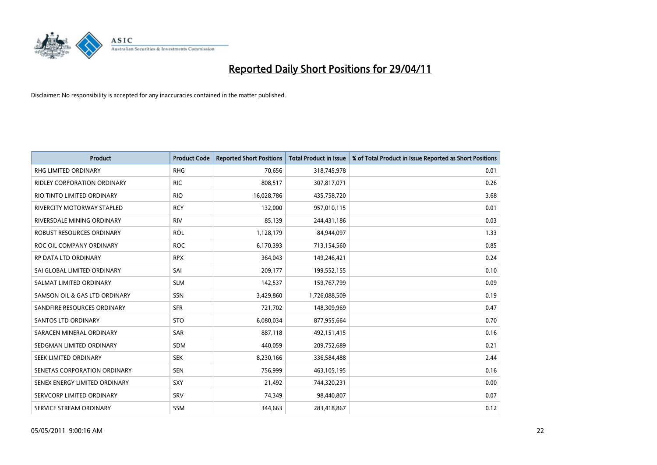

| <b>Product</b>                    | <b>Product Code</b> | <b>Reported Short Positions</b> | Total Product in Issue | % of Total Product in Issue Reported as Short Positions |
|-----------------------------------|---------------------|---------------------------------|------------------------|---------------------------------------------------------|
| <b>RHG LIMITED ORDINARY</b>       | <b>RHG</b>          | 70,656                          | 318,745,978            | 0.01                                                    |
| RIDLEY CORPORATION ORDINARY       | <b>RIC</b>          | 808,517                         | 307,817,071            | 0.26                                                    |
| RIO TINTO LIMITED ORDINARY        | <b>RIO</b>          | 16,028,786                      | 435,758,720            | 3.68                                                    |
| <b>RIVERCITY MOTORWAY STAPLED</b> | <b>RCY</b>          | 132,000                         | 957,010,115            | 0.01                                                    |
| RIVERSDALE MINING ORDINARY        | <b>RIV</b>          | 85,139                          | 244,431,186            | 0.03                                                    |
| ROBUST RESOURCES ORDINARY         | <b>ROL</b>          | 1,128,179                       | 84,944,097             | 1.33                                                    |
| ROC OIL COMPANY ORDINARY          | <b>ROC</b>          | 6,170,393                       | 713,154,560            | 0.85                                                    |
| RP DATA LTD ORDINARY              | <b>RPX</b>          | 364,043                         | 149,246,421            | 0.24                                                    |
| SAI GLOBAL LIMITED ORDINARY       | SAI                 | 209,177                         | 199,552,155            | 0.10                                                    |
| SALMAT LIMITED ORDINARY           | <b>SLM</b>          | 142,537                         | 159,767,799            | 0.09                                                    |
| SAMSON OIL & GAS LTD ORDINARY     | SSN                 | 3,429,860                       | 1,726,088,509          | 0.19                                                    |
| SANDFIRE RESOURCES ORDINARY       | <b>SFR</b>          | 721,702                         | 148,309,969            | 0.47                                                    |
| <b>SANTOS LTD ORDINARY</b>        | <b>STO</b>          | 6,080,034                       | 877,955,664            | 0.70                                                    |
| SARACEN MINERAL ORDINARY          | SAR                 | 887,118                         | 492,151,415            | 0.16                                                    |
| SEDGMAN LIMITED ORDINARY          | <b>SDM</b>          | 440,059                         | 209,752,689            | 0.21                                                    |
| SEEK LIMITED ORDINARY             | <b>SEK</b>          | 8,230,166                       | 336,584,488            | 2.44                                                    |
| SENETAS CORPORATION ORDINARY      | <b>SEN</b>          | 756,999                         | 463,105,195            | 0.16                                                    |
| SENEX ENERGY LIMITED ORDINARY     | SXY                 | 21,492                          | 744,320,231            | 0.00                                                    |
| SERVCORP LIMITED ORDINARY         | SRV                 | 74,349                          | 98,440,807             | 0.07                                                    |
| SERVICE STREAM ORDINARY           | <b>SSM</b>          | 344,663                         | 283,418,867            | 0.12                                                    |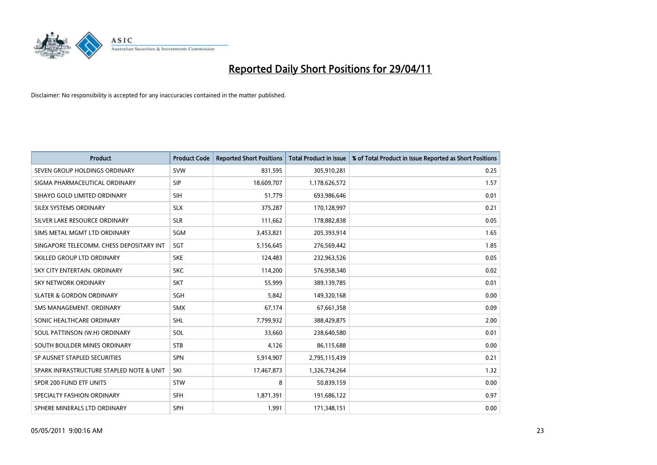

| <b>Product</b>                           | <b>Product Code</b> | <b>Reported Short Positions</b> | <b>Total Product in Issue</b> | % of Total Product in Issue Reported as Short Positions |
|------------------------------------------|---------------------|---------------------------------|-------------------------------|---------------------------------------------------------|
| SEVEN GROUP HOLDINGS ORDINARY            | <b>SVW</b>          | 831,595                         | 305,910,281                   | 0.25                                                    |
| SIGMA PHARMACEUTICAL ORDINARY            | <b>SIP</b>          | 18,609,707                      | 1,178,626,572                 | 1.57                                                    |
| SIHAYO GOLD LIMITED ORDINARY             | <b>SIH</b>          | 51.779                          | 693,986,646                   | 0.01                                                    |
| SILEX SYSTEMS ORDINARY                   | <b>SLX</b>          | 375,287                         | 170,128,997                   | 0.21                                                    |
| SILVER LAKE RESOURCE ORDINARY            | <b>SLR</b>          | 111,662                         | 178,882,838                   | 0.05                                                    |
| SIMS METAL MGMT LTD ORDINARY             | SGM                 | 3,453,821                       | 205,393,914                   | 1.65                                                    |
| SINGAPORE TELECOMM. CHESS DEPOSITARY INT | SGT                 | 5,156,645                       | 276,569,442                   | 1.85                                                    |
| SKILLED GROUP LTD ORDINARY               | <b>SKE</b>          | 124,483                         | 232,963,526                   | 0.05                                                    |
| SKY CITY ENTERTAIN, ORDINARY             | <b>SKC</b>          | 114,200                         | 576,958,340                   | 0.02                                                    |
| <b>SKY NETWORK ORDINARY</b>              | <b>SKT</b>          | 55,999                          | 389,139,785                   | 0.01                                                    |
| <b>SLATER &amp; GORDON ORDINARY</b>      | SGH                 | 5,842                           | 149,320,168                   | 0.00                                                    |
| SMS MANAGEMENT, ORDINARY                 | <b>SMX</b>          | 67,174                          | 67,661,358                    | 0.09                                                    |
| SONIC HEALTHCARE ORDINARY                | <b>SHL</b>          | 7,799,932                       | 388,429,875                   | 2.00                                                    |
| SOUL PATTINSON (W.H) ORDINARY            | SOL                 | 33,660                          | 238,640,580                   | 0.01                                                    |
| SOUTH BOULDER MINES ORDINARY             | <b>STB</b>          | 4,126                           | 86,115,688                    | 0.00                                                    |
| SP AUSNET STAPLED SECURITIES             | SPN                 | 5,914,907                       | 2,795,115,439                 | 0.21                                                    |
| SPARK INFRASTRUCTURE STAPLED NOTE & UNIT | SKI                 | 17,467,873                      | 1,326,734,264                 | 1.32                                                    |
| SPDR 200 FUND ETF UNITS                  | <b>STW</b>          | 8                               | 50,839,159                    | 0.00                                                    |
| SPECIALTY FASHION ORDINARY               | <b>SFH</b>          | 1,871,391                       | 191,686,122                   | 0.97                                                    |
| SPHERE MINERALS LTD ORDINARY             | <b>SPH</b>          | 1,991                           | 171,348,151                   | 0.00                                                    |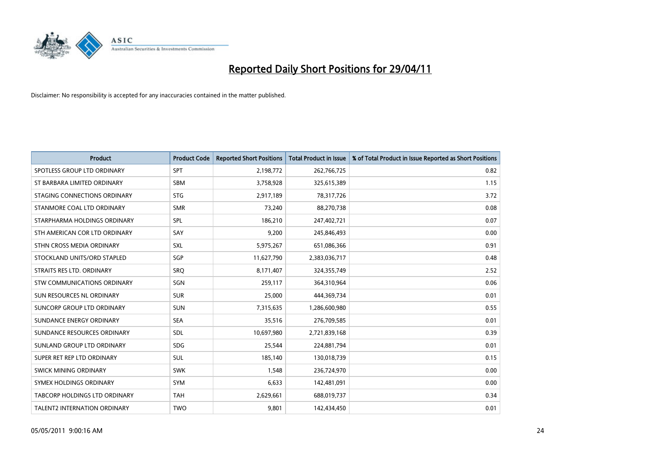

| <b>Product</b>                | <b>Product Code</b> | <b>Reported Short Positions</b> | <b>Total Product in Issue</b> | % of Total Product in Issue Reported as Short Positions |
|-------------------------------|---------------------|---------------------------------|-------------------------------|---------------------------------------------------------|
| SPOTLESS GROUP LTD ORDINARY   | SPT                 | 2,198,772                       | 262,766,725                   | 0.82                                                    |
| ST BARBARA LIMITED ORDINARY   | <b>SBM</b>          | 3,758,928                       | 325,615,389                   | 1.15                                                    |
| STAGING CONNECTIONS ORDINARY  | <b>STG</b>          | 2,917,189                       | 78,317,726                    | 3.72                                                    |
| STANMORE COAL LTD ORDINARY    | <b>SMR</b>          | 73,240                          | 88,270,738                    | 0.08                                                    |
| STARPHARMA HOLDINGS ORDINARY  | SPL                 | 186,210                         | 247,402,721                   | 0.07                                                    |
| STH AMERICAN COR LTD ORDINARY | SAY                 | 9,200                           | 245,846,493                   | 0.00                                                    |
| STHN CROSS MEDIA ORDINARY     | SXL                 | 5,975,267                       | 651,086,366                   | 0.91                                                    |
| STOCKLAND UNITS/ORD STAPLED   | SGP                 | 11,627,790                      | 2,383,036,717                 | 0.48                                                    |
| STRAITS RES LTD. ORDINARY     | SRO                 | 8,171,407                       | 324,355,749                   | 2.52                                                    |
| STW COMMUNICATIONS ORDINARY   | SGN                 | 259,117                         | 364,310,964                   | 0.06                                                    |
| SUN RESOURCES NL ORDINARY     | <b>SUR</b>          | 25,000                          | 444,369,734                   | 0.01                                                    |
| SUNCORP GROUP LTD ORDINARY    | <b>SUN</b>          | 7,315,635                       | 1,286,600,980                 | 0.55                                                    |
| SUNDANCE ENERGY ORDINARY      | <b>SEA</b>          | 35,516                          | 276,709,585                   | 0.01                                                    |
| SUNDANCE RESOURCES ORDINARY   | <b>SDL</b>          | 10,697,980                      | 2,721,839,168                 | 0.39                                                    |
| SUNLAND GROUP LTD ORDINARY    | <b>SDG</b>          | 25,544                          | 224,881,794                   | 0.01                                                    |
| SUPER RET REP LTD ORDINARY    | <b>SUL</b>          | 185,140                         | 130,018,739                   | 0.15                                                    |
| SWICK MINING ORDINARY         | <b>SWK</b>          | 1,548                           | 236,724,970                   | 0.00                                                    |
| SYMEX HOLDINGS ORDINARY       | SYM                 | 6,633                           | 142,481,091                   | 0.00                                                    |
| TABCORP HOLDINGS LTD ORDINARY | <b>TAH</b>          | 2,629,661                       | 688,019,737                   | 0.34                                                    |
| TALENT2 INTERNATION ORDINARY  | <b>TWO</b>          | 9,801                           | 142,434,450                   | 0.01                                                    |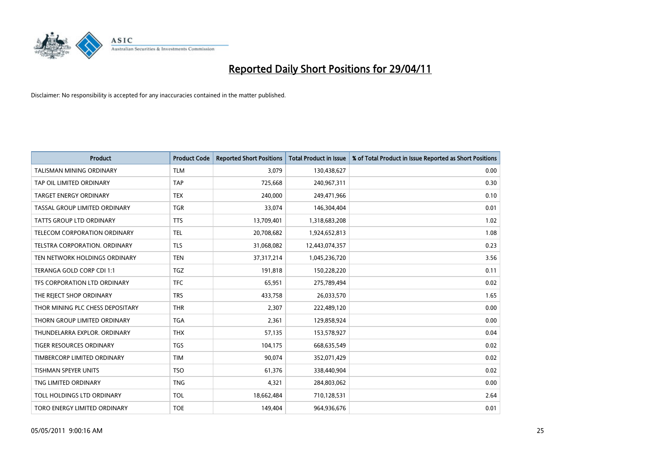

| <b>Product</b>                      | <b>Product Code</b> | <b>Reported Short Positions</b> | <b>Total Product in Issue</b> | % of Total Product in Issue Reported as Short Positions |
|-------------------------------------|---------------------|---------------------------------|-------------------------------|---------------------------------------------------------|
| <b>TALISMAN MINING ORDINARY</b>     | <b>TLM</b>          | 3,079                           | 130,438,627                   | 0.00                                                    |
| TAP OIL LIMITED ORDINARY            | <b>TAP</b>          | 725,668                         | 240,967,311                   | 0.30                                                    |
| <b>TARGET ENERGY ORDINARY</b>       | <b>TEX</b>          | 240.000                         | 249,471,966                   | 0.10                                                    |
| TASSAL GROUP LIMITED ORDINARY       | <b>TGR</b>          | 33,074                          | 146,304,404                   | 0.01                                                    |
| <b>TATTS GROUP LTD ORDINARY</b>     | <b>TTS</b>          | 13,709,401                      | 1,318,683,208                 | 1.02                                                    |
| <b>TELECOM CORPORATION ORDINARY</b> | <b>TEL</b>          | 20,708,682                      | 1,924,652,813                 | 1.08                                                    |
| TELSTRA CORPORATION, ORDINARY       | <b>TLS</b>          | 31,068,082                      | 12,443,074,357                | 0.23                                                    |
| TEN NETWORK HOLDINGS ORDINARY       | <b>TEN</b>          | 37, 317, 214                    | 1,045,236,720                 | 3.56                                                    |
| TERANGA GOLD CORP CDI 1:1           | <b>TGZ</b>          | 191,818                         | 150,228,220                   | 0.11                                                    |
| TFS CORPORATION LTD ORDINARY        | <b>TFC</b>          | 65,951                          | 275,789,494                   | 0.02                                                    |
| THE REJECT SHOP ORDINARY            | <b>TRS</b>          | 433,758                         | 26,033,570                    | 1.65                                                    |
| THOR MINING PLC CHESS DEPOSITARY    | <b>THR</b>          | 2,307                           | 222,489,120                   | 0.00                                                    |
| THORN GROUP LIMITED ORDINARY        | <b>TGA</b>          | 2,361                           | 129,858,924                   | 0.00                                                    |
| THUNDELARRA EXPLOR, ORDINARY        | <b>THX</b>          | 57,135                          | 153,578,927                   | 0.04                                                    |
| <b>TIGER RESOURCES ORDINARY</b>     | <b>TGS</b>          | 104,175                         | 668,635,549                   | 0.02                                                    |
| TIMBERCORP LIMITED ORDINARY         | <b>TIM</b>          | 90,074                          | 352,071,429                   | 0.02                                                    |
| TISHMAN SPEYER UNITS                | <b>TSO</b>          | 61,376                          | 338,440,904                   | 0.02                                                    |
| TNG LIMITED ORDINARY                | <b>TNG</b>          | 4,321                           | 284,803,062                   | 0.00                                                    |
| TOLL HOLDINGS LTD ORDINARY          | <b>TOL</b>          | 18,662,484                      | 710,128,531                   | 2.64                                                    |
| TORO ENERGY LIMITED ORDINARY        | <b>TOE</b>          | 149,404                         | 964,936,676                   | 0.01                                                    |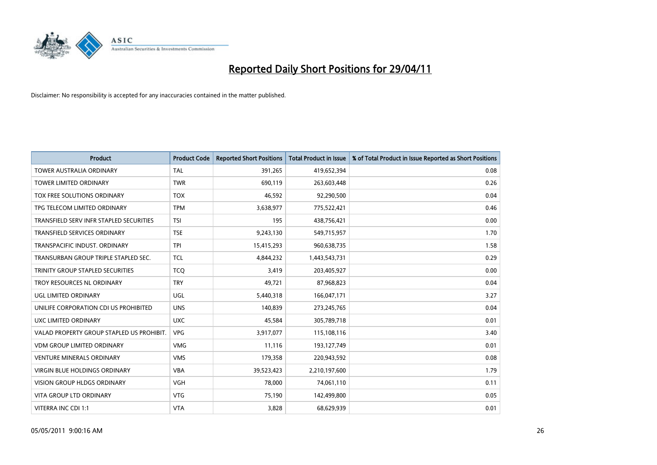

| <b>Product</b>                            | <b>Product Code</b> | <b>Reported Short Positions</b> | <b>Total Product in Issue</b> | % of Total Product in Issue Reported as Short Positions |
|-------------------------------------------|---------------------|---------------------------------|-------------------------------|---------------------------------------------------------|
| <b>TOWER AUSTRALIA ORDINARY</b>           | <b>TAL</b>          | 391,265                         | 419,652,394                   | 0.08                                                    |
| TOWER LIMITED ORDINARY                    | <b>TWR</b>          | 690,119                         | 263,603,448                   | 0.26                                                    |
| <b>TOX FREE SOLUTIONS ORDINARY</b>        | <b>TOX</b>          | 46.592                          | 92,290,500                    | 0.04                                                    |
| TPG TELECOM LIMITED ORDINARY              | <b>TPM</b>          | 3,638,977                       | 775,522,421                   | 0.46                                                    |
| TRANSFIELD SERV INFR STAPLED SECURITIES   | <b>TSI</b>          | 195                             | 438,756,421                   | 0.00                                                    |
| <b>TRANSFIELD SERVICES ORDINARY</b>       | <b>TSE</b>          | 9,243,130                       | 549,715,957                   | 1.70                                                    |
| TRANSPACIFIC INDUST, ORDINARY             | <b>TPI</b>          | 15,415,293                      | 960,638,735                   | 1.58                                                    |
| TRANSURBAN GROUP TRIPLE STAPLED SEC.      | <b>TCL</b>          | 4,844,232                       | 1,443,543,731                 | 0.29                                                    |
| TRINITY GROUP STAPLED SECURITIES          | <b>TCO</b>          | 3,419                           | 203,405,927                   | 0.00                                                    |
| TROY RESOURCES NL ORDINARY                | <b>TRY</b>          | 49,721                          | 87,968,823                    | 0.04                                                    |
| UGL LIMITED ORDINARY                      | <b>UGL</b>          | 5,440,318                       | 166,047,171                   | 3.27                                                    |
| UNILIFE CORPORATION CDI US PROHIBITED     | <b>UNS</b>          | 140,839                         | 273,245,765                   | 0.04                                                    |
| UXC LIMITED ORDINARY                      | <b>UXC</b>          | 45,584                          | 305,789,718                   | 0.01                                                    |
| VALAD PROPERTY GROUP STAPLED US PROHIBIT. | <b>VPG</b>          | 3,917,077                       | 115,108,116                   | 3.40                                                    |
| <b>VDM GROUP LIMITED ORDINARY</b>         | <b>VMG</b>          | 11,116                          | 193,127,749                   | 0.01                                                    |
| <b>VENTURE MINERALS ORDINARY</b>          | <b>VMS</b>          | 179,358                         | 220,943,592                   | 0.08                                                    |
| VIRGIN BLUE HOLDINGS ORDINARY             | <b>VBA</b>          | 39,523,423                      | 2,210,197,600                 | 1.79                                                    |
| VISION GROUP HLDGS ORDINARY               | <b>VGH</b>          | 78,000                          | 74,061,110                    | 0.11                                                    |
| <b>VITA GROUP LTD ORDINARY</b>            | <b>VTG</b>          | 75,190                          | 142,499,800                   | 0.05                                                    |
| VITERRA INC CDI 1:1                       | <b>VTA</b>          | 3,828                           | 68,629,939                    | 0.01                                                    |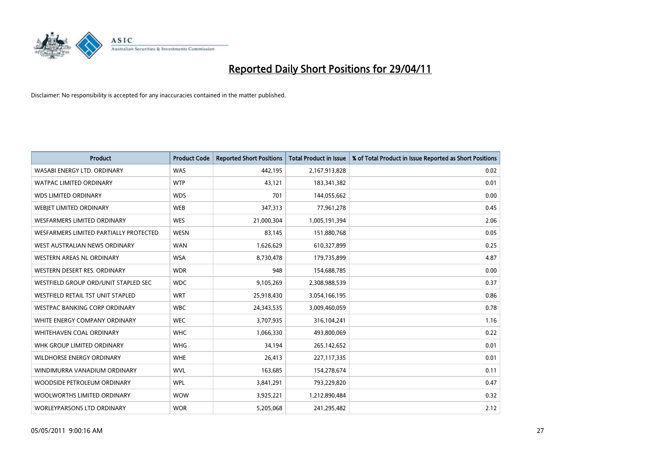

| <b>Product</b>                           | <b>Product Code</b> | <b>Reported Short Positions</b> | <b>Total Product in Issue</b> | % of Total Product in Issue Reported as Short Positions |
|------------------------------------------|---------------------|---------------------------------|-------------------------------|---------------------------------------------------------|
| WASABI ENERGY LTD, ORDINARY              | <b>WAS</b>          | 442,195                         | 2,167,913,828                 | 0.02                                                    |
| <b>WATPAC LIMITED ORDINARY</b>           | <b>WTP</b>          | 43,121                          | 183,341,382                   | 0.01                                                    |
| <b>WDS LIMITED ORDINARY</b>              | <b>WDS</b>          | 701                             | 144,055,662                   | 0.00                                                    |
| WEBJET LIMITED ORDINARY                  | <b>WEB</b>          | 347,313                         | 77,961,278                    | 0.45                                                    |
| <b>WESFARMERS LIMITED ORDINARY</b>       | <b>WES</b>          | 21,000,304                      | 1,005,191,394                 | 2.06                                                    |
| WESFARMERS LIMITED PARTIALLY PROTECTED   | <b>WESN</b>         | 83,145                          | 151,880,768                   | 0.05                                                    |
| WEST AUSTRALIAN NEWS ORDINARY            | <b>WAN</b>          | 1,626,629                       | 610,327,899                   | 0.25                                                    |
| <b>WESTERN AREAS NL ORDINARY</b>         | <b>WSA</b>          | 8,730,478                       | 179,735,899                   | 4.87                                                    |
| WESTERN DESERT RES. ORDINARY             | <b>WDR</b>          | 948                             | 154,688,785                   | 0.00                                                    |
| WESTFIELD GROUP ORD/UNIT STAPLED SEC     | <b>WDC</b>          | 9,105,269                       | 2,308,988,539                 | 0.37                                                    |
| <b>WESTFIELD RETAIL TST UNIT STAPLED</b> | <b>WRT</b>          | 25,918,430                      | 3,054,166,195                 | 0.86                                                    |
| WESTPAC BANKING CORP ORDINARY            | <b>WBC</b>          | 24,343,535                      | 3,009,460,059                 | 0.78                                                    |
| WHITE ENERGY COMPANY ORDINARY            | <b>WEC</b>          | 3,707,935                       | 316,104,241                   | 1.16                                                    |
| <b>WHITEHAVEN COAL ORDINARY</b>          | <b>WHC</b>          | 1,066,330                       | 493,800,069                   | 0.22                                                    |
| WHK GROUP LIMITED ORDINARY               | <b>WHG</b>          | 34,194                          | 265,142,652                   | 0.01                                                    |
| <b>WILDHORSE ENERGY ORDINARY</b>         | <b>WHE</b>          | 26,413                          | 227,117,335                   | 0.01                                                    |
| WINDIMURRA VANADIUM ORDINARY             | <b>WVL</b>          | 163,685                         | 154,278,674                   | 0.11                                                    |
| WOODSIDE PETROLEUM ORDINARY              | <b>WPL</b>          | 3,841,291                       | 793,229,820                   | 0.47                                                    |
| WOOLWORTHS LIMITED ORDINARY              | <b>WOW</b>          | 3,925,221                       | 1,212,890,484                 | 0.32                                                    |
| <b>WORLEYPARSONS LTD ORDINARY</b>        | <b>WOR</b>          | 5,205,068                       | 241,295,482                   | 2.12                                                    |